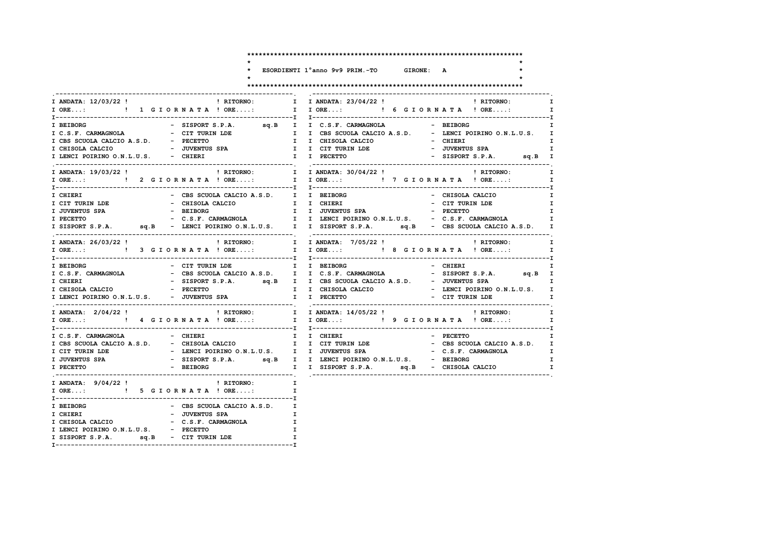$\ddot{\phantom{0}}$  $\star$ 

 $\star$ 

\* ESORDIENTI 1°anno 9v9 PRIM.-TO GIRONE: A

٠a

 $\star$ 

I LENCI POIRINO O.N.L.U.S. - PECETTO

I SISPORT S.P.A. sq.B - CIT TURIN LDE

### 

| I ANDATA: 12/03/22 ! PHITORNO:                              | I I ANDATA: 23/04/22 !   RITORNO:<br>I                                                                                                                  |
|-------------------------------------------------------------|---------------------------------------------------------------------------------------------------------------------------------------------------------|
|                                                             | $\mathbf{I}$                                                                                                                                            |
|                                                             |                                                                                                                                                         |
| I BEIBORG                                                   | - SISPORT S.P.A. sq.B I I C.S.F. CARMAGNOLA - BEIBORG<br>I                                                                                              |
|                                                             |                                                                                                                                                         |
| I C.S.F. CHREADWRD.<br>I CBS SCUOLA CALCIO A.S.D. - PECETTO |                                                                                                                                                         |
| I CHISOLA CALCIO - JUVENTUS SPA                             | $\mathbf{I}$                                                                                                                                            |
| I LENCI POIRINO O.N.L.U.S. - CHIERI                         | I I PECETTO<br>- SISPORT S.P.A. sq.B I                                                                                                                  |
| ! RITORNO:<br>I ANDATA: 19/03/22 !                          | I I ANDATA: 30/04/22 !<br><b>EXECUTE:</b> RITORNO:<br>$\mathbf I$                                                                                       |
|                                                             | $\mathbf{I}$                                                                                                                                            |
|                                                             |                                                                                                                                                         |
| - CBS SCUOLA CALCIO A.S.D. I I BEIBORG<br>I CHIERI          | T<br>- CHISOLA CALCIO                                                                                                                                   |
| I CIT TURIN LDE<br>- CHISOLA CALCIO                         | $\mathbf{I}$<br>- CIT TURIN LDE                                                                                                                         |
| - BEIBORG<br>I JUVENTUS SPA                                 | I I CHIERI<br>I I JUVENTUS SPA<br>$-$ PECETTO<br>$\mathbf{I}$                                                                                           |
| I PECETTO                                                   |                                                                                                                                                         |
|                                                             | I SISPORT S.P.A. sq.B - LENCI POIRINO O.N.L.U.S. I I SISPORT S.P.A. sq.B - CBS SCUOLA CALCIO A.S.D.<br>$\mathbf{I}$                                     |
|                                                             |                                                                                                                                                         |
| I ANDATA: 26/03/22 !                                        | ! RITORNO:<br>! RITORNO: I I ANDATA: 7/05/22 !<br>$\mathbf{I}$                                                                                          |
|                                                             | IORE: ! 3 GIORNATA ! ORE: I IORE: ! 8 GIORNATA ! ORE:<br>$\mathbf{I}$                                                                                   |
|                                                             |                                                                                                                                                         |
| - CIT TURIN LDE T I BEIBORG<br>I BEIBORG                    | - CHIERI<br>$\mathbf{I}$                                                                                                                                |
| I C.S.F. CARMAGNOLA                                         |                                                                                                                                                         |
| I CHIERI                                                    |                                                                                                                                                         |
| I CHISOLA CALCIO - PECETTO                                  | I I CHISOLA CALCIO<br>- LENCI POIRINO O.N.L.U.S. I                                                                                                      |
| I LENCI POIRINO O.N.L.U.S. - JUVENTUS SPA T I PECETTO       | - CIT TURIN LDE<br>$\mathbf{T}$                                                                                                                         |
| ! RITORNO: I I ANDATA: 14/05/22 !<br>I ANDATA: 2/04/22 !    | ! RITORNO:<br>$\mathbf{I}$                                                                                                                              |
|                                                             | I ORE:  1 I ORE: I I ORE: I P GIORNATA ! ORE: I                                                                                                         |
|                                                             |                                                                                                                                                         |
| I C.S.F. CARMAGNOLA - CHIERI                                | I I CHIERI<br>$-$ PECETTO<br>$\mathbf{I}$                                                                                                               |
|                                                             |                                                                                                                                                         |
|                                                             | I CBS SCUOLA CALCIO A.S.D. - CHISOLA CALCIO I I CITTURIN LDE - CBS SCUOLA CALCIO A.S.D. I I CITTURIN LDE - C.S.F. CARMAGNOLA I<br>- C.S.F. CARMAGNOLA I |
|                                                             | I.                                                                                                                                                      |
| I PECETTO<br>- BEIBORG                                      | I I SISPORT S.P.A. sq.B - CHISOLA CALCIO<br>$\mathbf{I}$                                                                                                |
|                                                             |                                                                                                                                                         |
| ! RITORNO:<br>I ANDATA: 9/04/22!                            | $\mathbf{I}$                                                                                                                                            |
| I ORE: ! 5 G I OR N A T A ! ORE:                            | $\mathbf I$                                                                                                                                             |
|                                                             |                                                                                                                                                         |
| - CBS SCUOLA CALCIO A.S.D. I                                |                                                                                                                                                         |
| I BEIBORG<br>I CHIERI                                       |                                                                                                                                                         |
|                                                             |                                                                                                                                                         |
|                                                             |                                                                                                                                                         |

 $\mathbf{r}$ 

 $\mathbf{I}$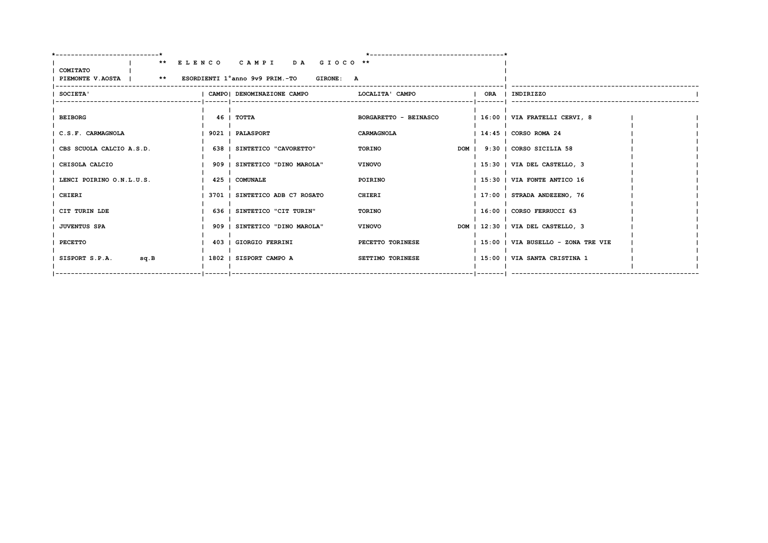| __________________________                                                 |                                |                              |  |                                    |  |
|----------------------------------------------------------------------------|--------------------------------|------------------------------|--|------------------------------------|--|
| COMITATO<br>PIEMONTE V.AOSTA   ** ESORDIENTI 1°anno 9v9 PRIM.-TO GIRONE: A | ** ELENCO CAMPI DA GIOCO **    |                              |  |                                    |  |
| SOCIETA'                                                                   | I CAMPOI DENOMINAZIONE CAMPO   | LOCALITA' CAMPO              |  | ORA   INDIRIZZO                    |  |
| <b>BEIBORG</b>                                                             | 46   TOTTA                     | <b>BORGARETTO - BEINASCO</b> |  | $ 16:00 $ VIA FRATELLI CERVI, 8    |  |
| C.S.F. CARMAGNOLA                                                          | 9021   PALASPORT               | CARMAGNOLA                   |  | $114:45$ $1$ CORSO ROMA 24         |  |
| CBS SCUOLA CALCIO A.S.D.                                                   | 638   SINTETICO "CAVORETTO"    | TORINO                       |  | DOM   9:30   CORSO SICILIA 58      |  |
| CHISOLA CALCIO                                                             | 909   SINTETICO "DINO MAROLA"  | <b>VINOVO</b>                |  | 15:30   VIA DEL CASTELLO, 3        |  |
| LENCI POIRINO O.N.L.U.S.                                                   | 425   COMUNALE                 | POIRINO                      |  | 15:30   VIA FONTE ANTICO 16        |  |
| CHIERI                                                                     | 3701   SINTETICO ADB C7 ROSATO | CHIERI                       |  | 17:00   STRADA ANDEZENO, 76        |  |
| CIT TURIN LDE                                                              | 636   SINTETICO "CIT TURIN"    | TORINO                       |  | 16:00   CORSO FERRUCCI 63          |  |
| <b>JUVENTUS SPA</b>                                                        | 909   SINTETICO "DINO MAROLA"  | <b>VINOVO</b>                |  | DOM   12:30   VIA DEL CASTELLO, 3  |  |
| PECETTO                                                                    | 403   GIORGIO FERRINI          | PECETTO TORINESE             |  | 15:00   VIA BUSELLO - ZONA TRE VIE |  |
| SISPORT S.P.A.<br>sq.B                                                     | 1802   SISPORT CAMPO A         | SETTIMO TORINESE             |  | 15:00   VIA SANTA CRISTINA 1       |  |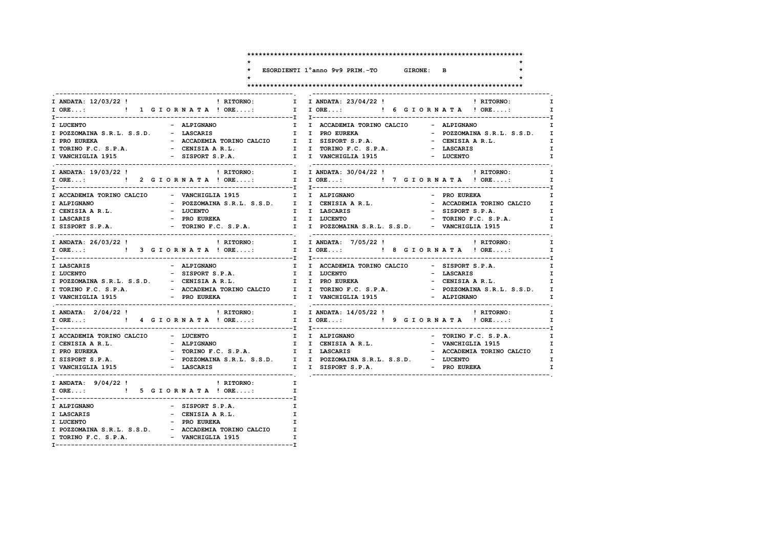$\star$  $\star$ 

 $\star$ 

\* ESORDIENTI 1°anno 9v9 PRIM.-TO GIRONE: B

 $\ddot{\phantom{1}}$ 

 $\star$ 

|--|--|--|--|

| I ANDATA: 12/03/22 ! PHITORNO:              |                                                        | I I ANDATA: 23/04/22 !         RITORNO:                                                                                                                |                                                 | I.                           |
|---------------------------------------------|--------------------------------------------------------|--------------------------------------------------------------------------------------------------------------------------------------------------------|-------------------------------------------------|------------------------------|
| I ORE: ! 1 G I O R N A T A ! ORE:           |                                                        | I IORE: ! 6 GIORNATA ! ORE:                                                                                                                            |                                                 | $\mathbf{I}$                 |
| I LUCENTO                                   | - ALPIGNANO                                            |                                                                                                                                                        |                                                 | I.                           |
| I POZZOMAINA S.R.L. S.S.D. - LASCARIS       |                                                        | I I ACCADEMIA TORINO CALCIO - ALPIGNANO<br>I I PRO EUREKA - POZZOMATNA                                                                                 | - POZZOMAINA S.R.L. S.S.D. I                    |                              |
| I PRO EUREKA                                |                                                        | - ACCADEMIA TORINO CALCIO II I SISPORT S.P.A. A CENISIA AR.L.                                                                                          |                                                 | $\mathbf{I}$                 |
|                                             |                                                        |                                                                                                                                                        | - LASCARIS                                      | $\mathbf{I}$                 |
| I VANCHIGLIA 1915                           | - SISPORT S.P.A.                                       | I I VANCHIGLIA 1915                                                                                                                                    | - LUCENTO                                       | $\mathbf{I}$                 |
|                                             |                                                        |                                                                                                                                                        |                                                 | $\mathbf{I}$                 |
|                                             |                                                        | I ANDATA: 19/03/22! PHITORNO: T I ANDATA: 30/04/22! PHITORNO: I CRE: PHITORNO: I CRE: I CRE: I CRE<br>I CRE: I CRE: I CRE: I CRE: I CRE: I CRE: I CRE: |                                                 | $\mathbf{I}$                 |
| I ACCADEMIA TORINO CALCIO - VANCHIGLIA 1915 |                                                        |                                                                                                                                                        | - PRO EUREKA                                    | I.                           |
|                                             |                                                        |                                                                                                                                                        |                                                 |                              |
| I ALPIGNANO<br>I CENISIA A R.L.             |                                                        |                                                                                                                                                        | - ACCADEMIA TORINO CALCIO I<br>- SISPORT S.P.A. |                              |
| I LASCARIS                                  | - LUCENTO<br>- PRO EUREKA                              | I I LASCARIS<br>I I LUCENTO                                                                                                                            | - TORINO F.C. S.P.A.                            | $\mathbf{I}$<br>$\mathbf{I}$ |
|                                             |                                                        | I SISPORT S.P.A. - TORINO F.C. S.P.A. I I POZZOMAINA S.R.L. S.S.D. - VANCHIGLIA 1915                                                                   |                                                 | I.                           |
|                                             |                                                        |                                                                                                                                                        |                                                 |                              |
|                                             |                                                        |                                                                                                                                                        |                                                 | $\mathbf{I}$                 |
|                                             |                                                        | I ANDATA: 26/03/22! ! RITORNO: I I ANDATA: 7/05/22! ! RITORNO:<br>I ORE: ! 3 GIORNATA!ORE: I I ORE: ! 8 GIORNATA ! ORE:                                |                                                 | $\mathbf{I}$                 |
|                                             |                                                        |                                                                                                                                                        |                                                 |                              |
| I LASCARIS                                  | - ALPIGNANO                                            | I I ACCADEMIA TORINO CALCIO - SISPORT S.P.A.                                                                                                           |                                                 | $\mathbf{I}$                 |
| I LUCENTO                                   | - SISPORT S.P.A.<br>I I LUCENTO                        |                                                                                                                                                        | - LASCARIS                                      | $\mathbf{I}$                 |
|                                             |                                                        | I POZZOMAINA S.R.L. S.S.D. - CENISIA A R.L. I I PRO EUREKA                                                                                             | - CENISIA A R.L. I                              |                              |
|                                             |                                                        |                                                                                                                                                        | - POZZOMAINA S.R.L. S.S.D. I                    |                              |
|                                             |                                                        |                                                                                                                                                        | - ALPIGNANO                                     | $\mathbf{I}$                 |
| I ANDATA: 2/04/22 !                         |                                                        | ! RITORNO: I I ANDATA: 14/05/22 !                                                                                                                      | ! RITORNO: I                                    |                              |
|                                             |                                                        |                                                                                                                                                        |                                                 | $\mathbf{I}$                 |
| I ACCADEMIA TORINO CALCIO - LUCENTO         |                                                        |                                                                                                                                                        |                                                 | $\mathbf{I}$                 |
| I CENISIA A R.L.                            | - ALPIGNANO                                            |                                                                                                                                                        |                                                 | $\mathbf{I}$                 |
| I PRO EUREKA                                |                                                        | - TORINO F.C. S.P.A. I I LASCARIS - ACCADEMIA TORINO CALCIO I                                                                                          |                                                 |                              |
| I SISPORT S.P.A.                            |                                                        | - POZZOMAINA S.R.L. S.S.D. I I POZZOMAINA S.R.L. S.S.D. - LUCENTO                                                                                      |                                                 | $\mathbf{I}$                 |
| I VANCHIGLIA 1915                           | - LASCARIS                                             | I I POZZOMAINA S.R.L. S.S.D. - LUCENTO<br>I I SISPORT S.P.A. - PRO EUREKA                                                                              |                                                 | $\mathbf{I}$                 |
| I ANDATA: $9/04/22$ !                       | ! RITORNO:                                             | $\mathbf{I}$                                                                                                                                           |                                                 |                              |
|                                             | I ORE: ! 5 G I OR N A T A ! ORE:                       | $\mathbf{I}$                                                                                                                                           |                                                 |                              |
| I ALPIGNANO                                 | - SISPORT S.P.A.                                       | $\mathbf{I}$                                                                                                                                           |                                                 |                              |
| I LASCARIS                                  | $\mathbf{I}$<br>- CENISIA A R.L.                       |                                                                                                                                                        |                                                 |                              |
| I LUCENTO                                   | - PRO EUREKA                                           | $\mathbf{I}$                                                                                                                                           |                                                 |                              |
|                                             | I POZZOMAINA S.R.L. S.S.D. - ACCADEMIA TORINO CALCIO I |                                                                                                                                                        |                                                 |                              |
| I TORINO F.C. S.P.A. - VANCHIGLIA 1915      | $\mathbf{r}$                                           |                                                                                                                                                        |                                                 |                              |
|                                             |                                                        |                                                                                                                                                        |                                                 |                              |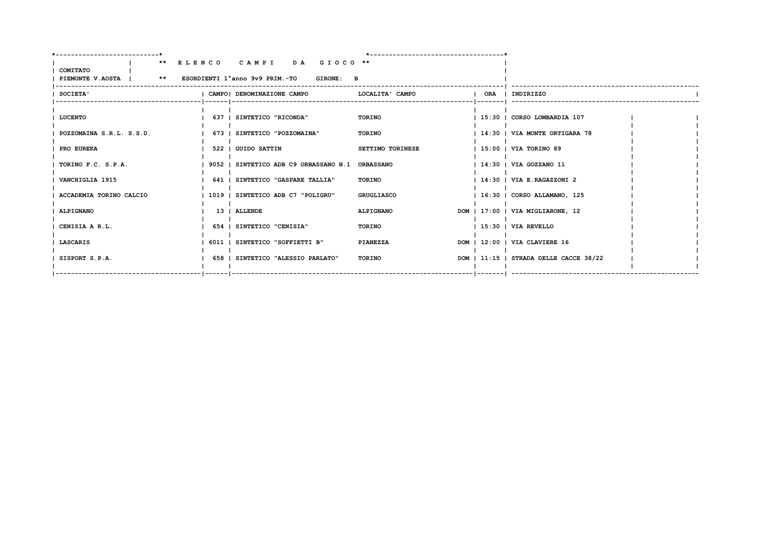| ------------------------*                                                  |                                                 |                   |  |                                        |  |
|----------------------------------------------------------------------------|-------------------------------------------------|-------------------|--|----------------------------------------|--|
| COMITATO<br>PIEMONTE V.AOSTA   ** ESORDIENTI 1°anno 9v9 PRIM.-TO GIRONE: B | ** ELENCO CAMPI DA GIOCO **                     |                   |  |                                        |  |
| SOCIETA'                                                                   | I CAMPOI DENOMINAZIONE CAMPO                    | LOCALITA' CAMPO   |  | ORA   INDIRIZZO                        |  |
| LUCENTO                                                                    | 637   SINTETICO "RICONDA"                       | TORINO            |  | 15:30   CORSO LOMBARDIA 107            |  |
| POZZOMAINA S.R.L. S.S.D.                                                   | 673   SINTETICO "POZZOMAINA"                    | TORINO            |  | 14:30   VIA MONTE ORTIGARA 78          |  |
| PRO EUREKA                                                                 | 522   GUIDO SATTIN                              | SETTIMO TORINESE  |  | $1.15:00$ $\mid$ VIA TORINO 89         |  |
| TORINO F.C. S.P.A.                                                         | 9052   SINTETICO ADB C9 ORBASSANO N.1 ORBASSANO |                   |  | 14:30   VIA GOZZANO 11                 |  |
| VANCHIGLIA 1915                                                            | 641   SINTETICO "GASPARE TALLIA"                | TORINO            |  | $1.14:30$ $1.71A$ E.RAGAZZONI 2        |  |
| ACCADEMIA TORINO CALCIO                                                    | 1019   SINTETICO ADB C7 "POLIGRU"               | <b>GRUGLIASCO</b> |  | 16:30   CORSO ALLAMANO, 125            |  |
| ALPIGNANO                                                                  | 13   ALLENDE                                    | ALPIGNANO         |  | DOM   17:00   VIA MIGLIARONE, 12       |  |
| CENISIA A R.L.                                                             | 654   SINTETICO "CENISIA"                       | TORINO            |  | 15:30   VIA REVELLO                    |  |
| <b>LASCARIS</b>                                                            | 6011   SINTETICO "SOFFIETTI B"                  | PIANEZZA          |  | DOM   12:00   VIA CLAVIERE 16          |  |
| SISPORT S.P.A.                                                             | 658   SINTETICO "ALESSIO PARLATO"               | TORINO            |  | DOM   11:15   STRADA DELLE CACCE 38/22 |  |
|                                                                            |                                                 |                   |  |                                        |  |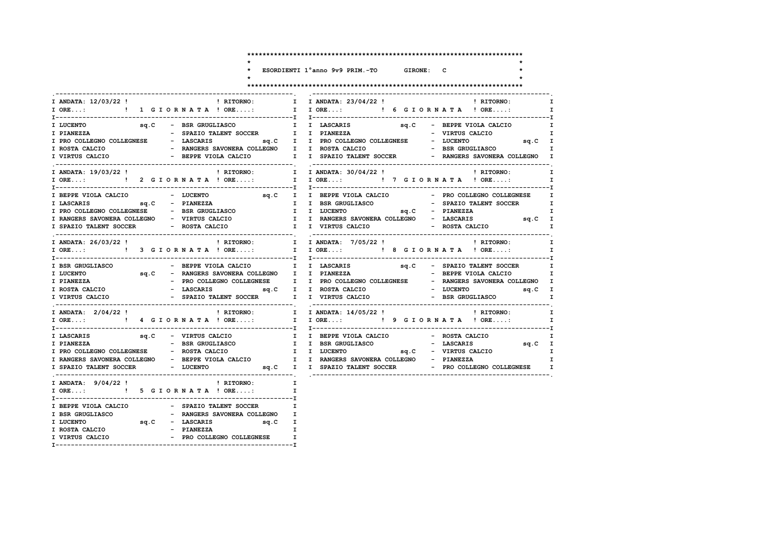$\ddot{\phantom{0}}$  $\star$  $\star$ 

ESORDIENTI 1°anno 9v9 PRIM.-TO GIRONE: C

٠L.

 $\mathbf{r}$  $\star$ 

| I ANDATA: 12/03/22 ! I RITORNO: I                                                                                                                                                                                                                                                                                                                                                                                                                      | I ANDATA: $23/04/22$ ! $\qquad \qquad$ ! RITORNO:<br>$\mathbf{I}$                                        |
|--------------------------------------------------------------------------------------------------------------------------------------------------------------------------------------------------------------------------------------------------------------------------------------------------------------------------------------------------------------------------------------------------------------------------------------------------------|----------------------------------------------------------------------------------------------------------|
| I ORE: ! 1 G I O R N A T A ! ORE:                                                                                                                                                                                                                                                                                                                                                                                                                      | I I ORE: ! 6 G I O R N A T A ! ORE:                                                                      |
|                                                                                                                                                                                                                                                                                                                                                                                                                                                        | $\mathbf{I}$                                                                                             |
|                                                                                                                                                                                                                                                                                                                                                                                                                                                        | $\mathbf{I}$                                                                                             |
| I PRO COLLEGNO COLLEGNESE - LASCARIS                                                                                                                                                                                                                                                                                                                                                                                                                   | sq.C I I PRO COLLEGNO COLLEGNESE - LUCENTO<br>sq.C I                                                     |
| I ROSTA CALCIO                                                                                                                                                                                                                                                                                                                                                                                                                                         | - RANGERS SAVONERA COLLEGNO I I ROSTA CALCIO $-$ BSR GRUGLIASCO I                                        |
| I VIRTUS CALCIO                                                                                                                                                                                                                                                                                                                                                                                                                                        | - BEPPE VIOLA CALCIO          I   I SPAZIO TALENT SOCCER                 PANGERS SAVONERA COLLEGNO     I |
| I ANDATA: 19/03/22 !<br>! RITORNO:                                                                                                                                                                                                                                                                                                                                                                                                                     | I I ANDATA: 30/04/22!<br>! RITORNO:                                                                      |
|                                                                                                                                                                                                                                                                                                                                                                                                                                                        | $\mathbf{I}$                                                                                             |
|                                                                                                                                                                                                                                                                                                                                                                                                                                                        |                                                                                                          |
| I BEPPE VIOLA CALCIO - LUCENTO                                                                                                                                                                                                                                                                                                                                                                                                                         | sq.C I I BEPPE VIOLA CALCIO   PRO COLLEGNO COLLEGNESE   I                                                |
| $sq.C$ - PIANEZZA<br>I LASCARIS                                                                                                                                                                                                                                                                                                                                                                                                                        | I I BSR GRUGLIASCO<br>- SPAZIO TALENT SOCCER I                                                           |
| I PRO COLLEGNO COLLEGNESE - BSR GRUGLIASCO I I LUCENTO                                                                                                                                                                                                                                                                                                                                                                                                 | $sq.C$ - PIANEZZA<br>$\mathbf{I}$                                                                        |
| I RANGERS SAVONERA COLLEGNO - VIRTUS CALCIO                                                                                                                                                                                                                                                                                                                                                                                                            | I I RANGERS SAVONERA COLLEGNO - LASCARIS 59.C I                                                          |
|                                                                                                                                                                                                                                                                                                                                                                                                                                                        |                                                                                                          |
| I ANDATA: 26/03/22 !                                                                                                                                                                                                                                                                                                                                                                                                                                   | ! RITORNO: I I ANDATA: 7/05/22 !<br>! RITORNO:<br>$\mathbf{I}$                                           |
|                                                                                                                                                                                                                                                                                                                                                                                                                                                        |                                                                                                          |
| - BEPPE VIOLA CALCIO I I LASCARIS<br>I BSR GRUGLIASCO                                                                                                                                                                                                                                                                                                                                                                                                  | sq.C - SPAZIO TALENT SOCCER<br>$\mathbf{I}$                                                              |
| sq.C - RANGERS SAVONERA COLLEGNO I I PIANEZZA<br>I LUCENTO                                                                                                                                                                                                                                                                                                                                                                                             | - BEPPE VIOLA CALCIO I                                                                                   |
|                                                                                                                                                                                                                                                                                                                                                                                                                                                        | - PRO COLLEGNO COLLEGNESE I I PRO COLLEGNO COLLEGNESE - RANGERS SAVONERA COLLEGNO I                      |
| $\begin{tabular}{lllllllllllllllllll} \texttt{I} & \texttt{PIANEZZA} & & & - & \texttt{PRO}\ \texttt{COLLEGNO} & \texttt{COLLEGNO} & \texttt{COLLEGNO} & \texttt{COLLEGNO} & & & \texttt{Sq.C} & & \texttt{I} & & \texttt{ROSTA}\ \texttt{CAL CIO} & & & - & \texttt{LASCARIS} & & & \texttt{sq.C} & & \texttt{I} & \texttt{ROSTA}\ \texttt{CAL CIO} & & & & & \texttt{Sq.C} & & \texttt{I} & & \texttt{ROSTA}\ \texttt{CAL CIO} & & & & & \texttt{Sq$ | - LUCENTO sq.C I                                                                                         |
| - SPAZIO TALENT SOCCER I I VIRTUS CALCIO<br>I VIRTUS CALCIO                                                                                                                                                                                                                                                                                                                                                                                            | - BSR GRUGLIASCO I                                                                                       |
| I ANDATA: 2/04/22 !                                                                                                                                                                                                                                                                                                                                                                                                                                    | ! RITORNO: I I ANDATA: 14/05/22 !     RITORNO: I                                                         |
|                                                                                                                                                                                                                                                                                                                                                                                                                                                        |                                                                                                          |
| sq.C - VIRTUS CALCIO<br>I LASCARIS                                                                                                                                                                                                                                                                                                                                                                                                                     | I I BEPPE VIOLA CALCIO - ROSTA CALCIO                                                                    |
| - BSR GRUGLIASCO<br>I PIANEZZA                                                                                                                                                                                                                                                                                                                                                                                                                         | I I BSR GRUGLIASCO                                                                                       |
| I PRO COLLEGNO COLLEGNESE - ROSTA CALCIO I I LUCENTO                                                                                                                                                                                                                                                                                                                                                                                                   | IASCO - LASCARIS 9q.C I<br>sq.C - VIRTUS CALCIO I                                                        |
|                                                                                                                                                                                                                                                                                                                                                                                                                                                        | I RANGERS SAVONERA COLLEGNO - BEPPE VIOLA CALCIO I I RANGERS SAVONERA COLLEGNO - PIANEZZA                |
|                                                                                                                                                                                                                                                                                                                                                                                                                                                        | I SPAZIO TALENT SOCCER - LUCENTO - Sq.C I I SPAZIO TALENT SOCCER - PRO COLLEGNO COLLEGNESE I             |
| I ANDATA: 9/04/22!<br>! RITORNO:                                                                                                                                                                                                                                                                                                                                                                                                                       | $\mathbf{I}$                                                                                             |
| I ORE: ! 5 G I OR N A T A ! ORE:                                                                                                                                                                                                                                                                                                                                                                                                                       | $\mathbf{I}$                                                                                             |
| - SPAZIO TALENT SOCCER I<br>I BEPPE VIOLA CALCIO                                                                                                                                                                                                                                                                                                                                                                                                       |                                                                                                          |
| - RANGERS SAVONERA COLLEGNO I<br>I BSR GRUGLIASCO                                                                                                                                                                                                                                                                                                                                                                                                      |                                                                                                          |
| I LUCENTO $sq.C$ - LASCARIS $sq.C$ I                                                                                                                                                                                                                                                                                                                                                                                                                   |                                                                                                          |
| I ROSTA CALCIO<br>- PIANEZZA                                                                                                                                                                                                                                                                                                                                                                                                                           | $\mathbf{I}$                                                                                             |
| - PRO COLLEGNO COLLEGNESE I<br>I VIRTUS CALCIO                                                                                                                                                                                                                                                                                                                                                                                                         |                                                                                                          |
|                                                                                                                                                                                                                                                                                                                                                                                                                                                        |                                                                                                          |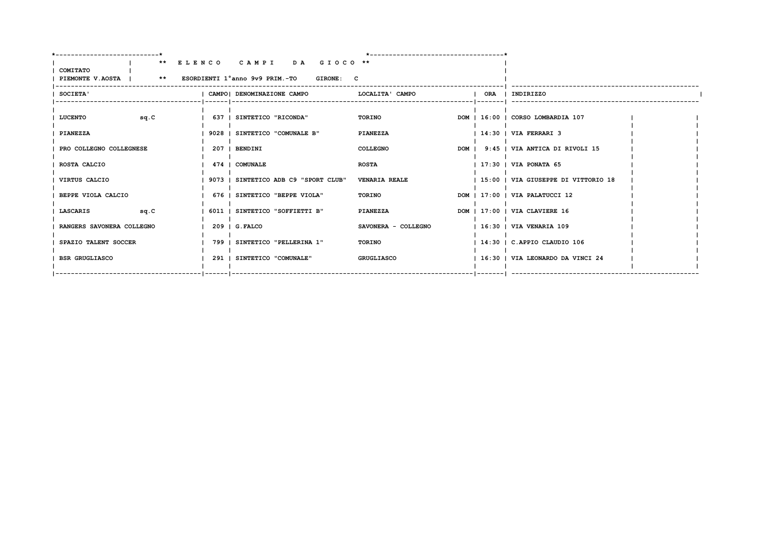| COMITATO                       |       | ** ELENCO CAMPI DA GIOCO **<br>PIEMONTE V.AOSTA   ** ESORDIENTI 1°anno 9v9 PRIM.-TO GIRONE: C |                      |  |                                       |  |
|--------------------------------|-------|-----------------------------------------------------------------------------------------------|----------------------|--|---------------------------------------|--|
| SOCIETA'                       |       | CAMPO  DENOMINAZIONE CAMPO                                                                    | LOCALITA' CAMPO      |  | ORA   INDIRIZZO                       |  |
| <b>LUCENTO</b><br>sq.C         |       | 637   SINTETICO "RICONDA"                                                                     | <b>TORINO</b>        |  | DOM   16:00   CORSO LOMBARDIA 107     |  |
| PIANEZZA                       |       | 9028   SINTETICO "COMUNALE B"                                                                 | <b>PIANEZZA</b>      |  | $114:30$ $I$ VIA FERRARI 3            |  |
| PRO COLLEGNO COLLEGNESE        |       | 207   BENDINI                                                                                 | COLLEGNO             |  | DOM   9:45   VIA ANTICA DI RIVOLI 15  |  |
| ROSTA CALCIO                   |       | 474   COMUNALE                                                                                | <b>ROSTA</b>         |  | $1$ 17:30 $\pm$ VIA PONATA 65         |  |
| VIRTUS CALCIO                  |       | 9073   SINTETICO ADB C9 "SPORT CLUB"                                                          | <b>VENARIA REALE</b> |  | 15:00   VIA GIUSEPPE DI VITTORIO 18   |  |
| BEPPE VIOLA CALCIO             |       | 676   SINTETICO "BEPPE VIOLA"                                                                 | TORINO               |  | DOM   17:00   VIA PALATUCCI 12        |  |
| <b>LASCARIS</b><br><b>SQ.C</b> | 6011  | SINTETICO "SOFFIETTI B"                                                                       | <b>PIANEZZA</b>      |  | DOM   17:00   VIA CLAVIERE 16         |  |
| RANGERS SAVONERA COLLEGNO      |       | $209$   G.FALCO                                                                               | SAVONERA - COLLEGNO  |  | 16:30   VIA VENARIA 109               |  |
| SPAZIO TALENT SOCCER           | 799 1 | SINTETICO "PELLERINA 1"                                                                       | TORINO               |  | $1$ 14:30 $\mid$ C. APPIO CLAUDIO 106 |  |
| <b>BSR GRUGLIASCO</b>          |       | 291   SINTETICO "COMUNALE"                                                                    | GRUGLIASCO           |  | 16:30   VIA LEONARDO DA VINCI 24      |  |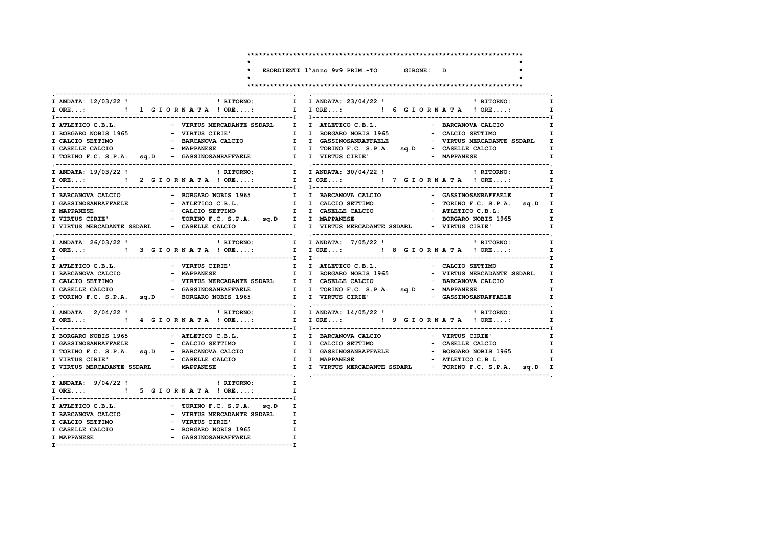$\ddot{\phantom{0}}$  $\star$ 

 $\star$ 

ESORDIENTI 1°anno 9v9 PRIM.-TO GIRONE: D

 $\mathbf{r}$ 

 $\star$ 

|                             |                                                                  | I ANDATA: 12/03/22 !                                   ! RITORNO:         I I ANDATA: 23/04/22 !                     ! RITORNO:<br>$\mathbf{I}$                   |
|-----------------------------|------------------------------------------------------------------|-------------------------------------------------------------------------------------------------------------------------------------------------------------------|
|                             | I ORE: ! 1 G I OR N A T A ! ORE:                                 | I I ORE: ! 6 G I O R N A T A ! ORE:                                                                                                                               |
|                             |                                                                  |                                                                                                                                                                   |
| I ATLETICO C.B.L.           | - VIRTUS MERCADANTE SSDARL I I ATLETICO C.B.L.                   | - BARCANOVA CALCIO                                                                                                                                                |
| I BORGARO NOBIS 1965        | - VIRTUS CIRIE'                                                  | I I BORGARO NOBIS 1965<br>- CALCIO SETTIMO                                                                                                                        |
|                             |                                                                  | I CALCIO SETTIMO <b>CALCIO</b> - BARCANOVA CALCIO <b>I</b> I GASSINOSANRAFFAELE - VIRTUS MERCADANTE SSDARL I                                                      |
|                             |                                                                  | I CASELLE CALCIO - MAPPANESE THE I TORINO F.C. S.P.A. sq.D - CASELLE CALCIO<br>$\mathbf{I}$ and $\mathbf{I}$                                                      |
|                             | I TORINO F.C. S.P.A. sq.D - GASSINOSANRAFFAELE I I VIRTUS CIRIE' | - MAPPANESE                                                                                                                                                       |
| I ANDATA: 19/03/22 !        |                                                                  |                                                                                                                                                                   |
|                             |                                                                  |                                                                                                                                                                   |
|                             |                                                                  |                                                                                                                                                                   |
| I BARCANOVA CALCIO          |                                                                  | - GASSINOSANRAFFAELE<br>$\mathbf{I}$                                                                                                                              |
| <b>I GASSINOSANRAFFAELE</b> | - ATLETICO C.B.L.                                                | - BORGARO NOBIS 1965               I     I   BARCANOVA CALCIO<br>- ATLETICO C.B.L.                       I      I   CALCIO SETTIMO<br>- TORINO F.C. S.P.A. sq.D I |
|                             |                                                                  |                                                                                                                                                                   |
|                             |                                                                  |                                                                                                                                                                   |
|                             |                                                                  | I VIRTUS MERCADANTE SSDARL - CASELLE CALCIO I I VIRTUS MERCADANTE SSDARL - VIRTUS CIRIE'                                                                          |
| I ANDATA: 26/03/22 !        |                                                                  | ! RITORNO: I I ANDATA: 7/05/22 !<br>$\mathbf{I}$<br>! RITORNO:                                                                                                    |
|                             |                                                                  | IORE: ! 3 GIORNATA ! ORE: I IORE: ! 8 GIORNATA ! ORE:                                                                                                             |
|                             | I ATLETICO C.B.L.                               VIRTUS CIRIE'    |                                                                                                                                                                   |
|                             | I BARCANOVA CALCIO - MAPPANESE                                   | I I BORGARO NOBIS 1965 - VIRTUS MERCADANTE SSDARL I                                                                                                               |
| I CALCIO SETTIMO            |                                                                  | $\mathbf{I}$                                                                                                                                                      |
| I CASELLE CALCIO            |                                                                  |                                                                                                                                                                   |
|                             |                                                                  | I TORINO F.C. S.P.A. sq.D - BORGARO NOBIS 1965 I I VIRTUS CIRIE' - GASSINOSANRAFFAELE I                                                                           |
| I ANDATA: 2/04/22 !         |                                                                  |                                                                                                                                                                   |
|                             |                                                                  | I ORE:  1 I ORE: I I ORE: I P GIORNATA ! ORE: I                                                                                                                   |
|                             |                                                                  | I BORGARO NOBIS 1965 - ATLETICO C.B.L.     I I BARCANOVA CALCIO   - VIRTUS CIRIE'<br>$\mathbf{I}$                                                                 |
|                             | I GASSINOSANRAFFAELE - CALCIO SETTIMO                            |                                                                                                                                                                   |
|                             | I TORINO F.C. S.P.A. sq.D - BARCANOVA CALCIO                     |                                                                                                                                                                   |
|                             | I VIRTUS CIRIE' <a></a> > - CASELLE CALCIO                       | I I MAPPANESE<br>- ATLETICO C.B.L. I                                                                                                                              |
|                             | I VIRTUS MERCADANTE SSDARL - MAPPANESE                           | I I VIRTUS MERCADANTE SSDARL - TORINO F.C. S.P.A. sq.D I                                                                                                          |
|                             | I ANDATA: $9/04/22$ ! (RITORNO: I                                |                                                                                                                                                                   |
|                             | I ORE: ! 5 G I O R N A T A ! ORE:                                | $\mathbf{I}$                                                                                                                                                      |
| I ATLETICO C.B.L.           |                                                                  |                                                                                                                                                                   |
| I BARCANOVA CALCIO          | - TORINO F.C. S.P.A. sq.D I<br>- VIRTUS MERCADANTE SSDARL I      |                                                                                                                                                                   |
|                             | I CALCIO SETTIMO - VIRTUS CIRIE'                                 | $\mathbf{I}$                                                                                                                                                      |
|                             | I CASELLE CALCIO - BORGARO NOBIS 1965 I                          |                                                                                                                                                                   |
| I MAPPANESE                 | - GASSINOSANRAFFAELE                                             | $\mathbf{I}$                                                                                                                                                      |
|                             |                                                                  |                                                                                                                                                                   |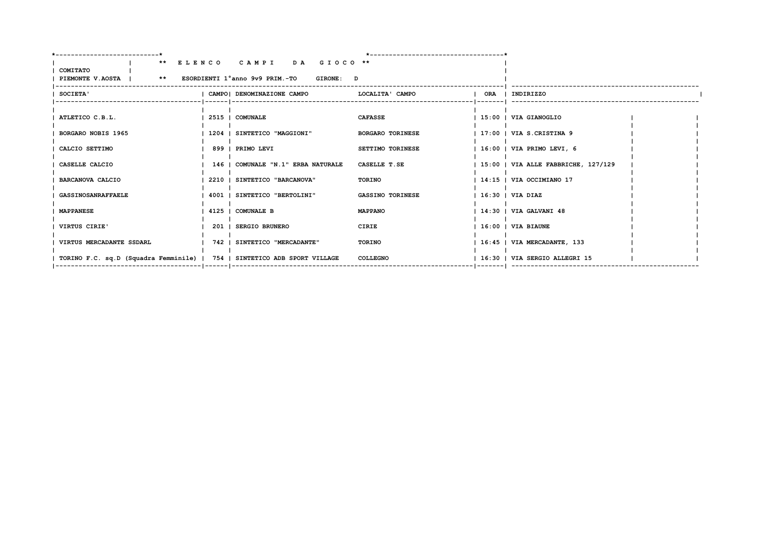|                                                                          | ** ELENCO CAMPI DA GIOCO **                  |                           |                                     |  |
|--------------------------------------------------------------------------|----------------------------------------------|---------------------------|-------------------------------------|--|
| COMITATO                                                                 |                                              |                           |                                     |  |
| PIEMONTE V.AOSTA           **     ESORDIENTI 1°anno 9v9 PRIM.-TO         | <b>GIRONE: D</b>                             |                           |                                     |  |
| <b>SOCIETA'</b>                                                          | CAMPO  DENOMINAZIONE CAMPO   LOCALITA' CAMPO |                           | ORA   INDIRIZZO                     |  |
|                                                                          |                                              | ------------------------- |                                     |  |
|                                                                          |                                              |                           |                                     |  |
| ATLETICO C.B.L.                                                          | 2515   COMUNALE                              | <b>CAFASSE</b>            | 15:00   VIA GIANOGLIO               |  |
|                                                                          |                                              |                           |                                     |  |
| <b>BORGARO NOBIS 1965</b>                                                | 1204   SINTETICO "MAGGIONI"                  | <b>BORGARO TORINESE</b>   | 17:00   VIA S.CRISTINA 9            |  |
| CALCIO SETTIMO                                                           | 899   PRIMO LEVI                             | SETTIMO TORINESE          | 16:00   VIA PRIMO LEVI, 6           |  |
|                                                                          |                                              |                           |                                     |  |
| CASELLE CALCIO                                                           | 146   COMUNALE "N.1" ERBA NATURALE           | CASELLE T.SE              | 15:00   VIA ALLE FABBRICHE, 127/129 |  |
|                                                                          |                                              |                           |                                     |  |
| <b>BARCANOVA CALCIO</b>                                                  | 2210   SINTETICO "BARCANOVA"                 | TORINO                    | 14:15   VIA OCCIMIANO 17            |  |
| <b>GASSINOSANRAFFAELE</b>                                                | 4001   SINTETICO "BERTOLINI"                 | <b>GASSINO TORINESE</b>   | 16:30   VIA DIAZ                    |  |
|                                                                          |                                              |                           |                                     |  |
| <b>MAPPANESE</b>                                                         | 4125   COMUNALE B                            | <b>MAPPANO</b>            | 14:30   VIA GALVANI 48              |  |
|                                                                          |                                              |                           |                                     |  |
| VIRTUS CIRIE'                                                            | 201   SERGIO BRUNERO                         | CIRIE                     | 16:00   VIA BIAUNE                  |  |
| VIRTUS MERCADANTE SSDARL                                                 | 742   SINTETICO "MERCADANTE"                 | TORINO                    | 16:45   VIA MERCADANTE, 133         |  |
|                                                                          |                                              |                           |                                     |  |
| TORINO F.C. sq.D (Squadra Femminile)   754   SINTETICO ADB SPORT VILLAGE |                                              | COLLEGNO                  | 16:30   VIA SERGIO ALLEGRI 15       |  |
|                                                                          |                                              |                           |                                     |  |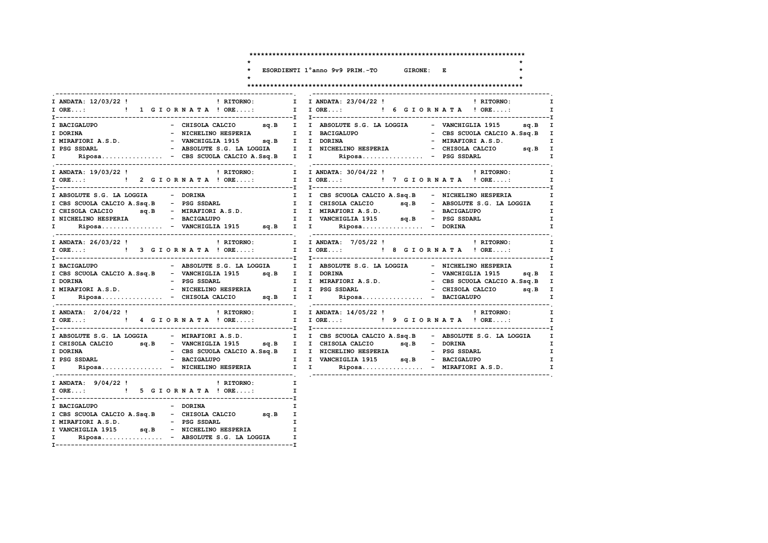GIRONE: E

 $\ddot{\phantom{0}}$ 

 $\star$ 

 $\star$ 

# ESORDIENTI 1°anno 9v9 PRIM.-TO

 $\mathbf{r}$ 

 $\star$ 

| I ANDATA: 12/03/22 !<br>I ORE: ! 1 G I O R N A T A ! ORE:                                                                                                                                                                                                                                                                                                                                                                                                                                                                     | ! RITORNO: I                            | I ANDATA: 23/04/22 ! PRITORNO:<br>I I ORE: ! 6 G I O R N A T A ! ORE:                                                                                                                            | $\mathbf{I}$                                                          |
|-------------------------------------------------------------------------------------------------------------------------------------------------------------------------------------------------------------------------------------------------------------------------------------------------------------------------------------------------------------------------------------------------------------------------------------------------------------------------------------------------------------------------------|-----------------------------------------|--------------------------------------------------------------------------------------------------------------------------------------------------------------------------------------------------|-----------------------------------------------------------------------|
| I BACIGALUPO<br>I DORINA<br>I MIRAFIORI A.S.D.                                   VANCHIGLIA 1915         sq.B     I     I   DORINA<br>I PSG SSDARL<br>I Riposa - CBS SCUOLA CALCIO A.Ssq.B I I Riposa - PSG SSDARL                                                                                                                                                                                                                                                                                                            |                                         | - CHISOLA CALCIO sq.B I I ABSOLUTE S.G. LA LOGGIA - VANCHIGLIA 1915 sq.B I<br>- NICHELINO HESPERIA NO I I BACIGALUPO<br>- ABSOLUTE S.G. LA LOGGIA I I NICHELINO HESPERIA - CHISOLA CALCIO sq.B I | - CBS SCUOLA CALCIO A.Ssq.B I<br>- MIRAFIORI A.S.D. I<br>$\mathbf{I}$ |
| I ANDATA: 19/03/22 !<br>I ORE:  1 I ORE:  1 I ORE:  1 I ORE:  I I ORE:  I I ORE:  I I ORE                                                                                                                                                                                                                                                                                                                                                                                                                                     | ! RITORNO: I                            | I ANDATA: 30/04/22 !                                                                                                                                                                             | ! RITORNO:<br>$\mathbf{I}$<br>$\mathbf{I}$                            |
| I ABSOLUTE S.G. LA LOGGIA - DORINA<br>I CBS SCUOLA CALCIO A.Ssq.B - PSG SSDARL<br>I CHISOLA CALCIO 9q.B - MIRAFIORI A.S.D. I I MIRAFIORI A.S.D. - BACIGALUPO<br>1 Riposa - VANCHIGLIA 1915 sq.B I I Riposa - DORINA                                                                                                                                                                                                                                                                                                           |                                         | I I CBS SCUOLA CALCIO A.Ssq.B - NICHELINO HESPERIA I I CHISOLA CALCIO sq.B - ABSOLUTE S.G. LA LOGGIA I                                                                                           | I.<br>$\mathbf{I}$<br>$\mathbf{I}$                                    |
| I ANDATA: 26/03/22 !<br>I ORE: [ 3 GIORNATA ! ORE: I I ORE: [ 8 GIORNATA ! ORE:                                                                                                                                                                                                                                                                                                                                                                                                                                               |                                         | ! RITORNO: I I ANDATA: 7/05/22 !                                                                                                                                                                 | ! RITORNO:<br>$\mathbf{I}$<br>$\mathbf{I}$                            |
| I BACIGALUPO<br>I CBS SCUOLA CALCIO A.Ssq.B - VANCHIGLIA 1915 sq.B I I DORINA<br>$\mathbf{I}$ and $\mathbf{I}$                                                                                                                                                                                                                                                                                                                                                                                                                |                                         | - ABSOLUTE S.G. LA LOGGIA I I ABSOLUTE S.G. LA LOGGIA - NICHELINO HESPERIA                                                                                                                       | $\mathbf{I}$<br>- VANCHIGLIA 1915 sq.B I<br>$\mathbf{I}$              |
| I ANDATA: 2/04/22 !<br>IORE: 1 4 GIORNATA ! ORE: I IORE: 1 9 GIORNATA ! ORE: I                                                                                                                                                                                                                                                                                                                                                                                                                                                |                                         | ! RITORNO: T I ANDATA: 14/05/22 !                                                                                                                                                                | ! RITORNO:<br>$\mathbf{I}$                                            |
| I ABSOLUTE S.G. LA LOGGIA - MIRAFIORI A.S.D. I I CBS SCUOLA CALCIO A.Ssq.B - ABSOLUTE S.G. LA LOGGIA I<br>I DORINA<br>I PSG SSDARL<br>$\mathbf{I}$ and $\mathbf{I}$ and $\mathbf{I}$ and $\mathbf{I}$ and $\mathbf{I}$ and $\mathbf{I}$ and $\mathbf{I}$ and $\mathbf{I}$ and $\mathbf{I}$ and $\mathbf{I}$ and $\mathbf{I}$ and $\mathbf{I}$ and $\mathbf{I}$ and $\mathbf{I}$ and $\mathbf{I}$ and $\mathbf{I}$ and $\mathbf{I}$ and                                                                                        |                                         | - CBS SCUOLA CALCIO A.Ssq.B I I NICHELINO HESPERIA - PSG SSDARL                                                                                                                                  | $\mathbf{I}$<br>$\mathbf{I}$                                          |
| I ANDATA: $9/04/22$ ! I RITORNO: I<br>I ORE: ! 5 G I O R N A T A ! ORE:                                                                                                                                                                                                                                                                                                                                                                                                                                                       |                                         |                                                                                                                                                                                                  |                                                                       |
| I BACIGALUPO<br>- DORINA<br>$\begin{tabular}{lllllllllll} \texttt{I} & \texttt{CBS} & \texttt{CULC} & \texttt{CALCIO} & \texttt{SQ} & \texttt{SQ} & \texttt{SQ} & \texttt{SQ} & \texttt{SQ} & \texttt{SQ} & \texttt{SQ} & \texttt{SQ} & \texttt{SQ} & \texttt{SQ} & \texttt{SQ} & \texttt{SQ} & \texttt{SQ} & \texttt{SQ} & \texttt{SQ} & \texttt{SQ} & \texttt{SQ} & \texttt{SQ} & \texttt{SQ} & \texttt{SQ} & \texttt{SQ} & \texttt{S$<br>I VANCHIGLIA 1915 sq.B - NICHELINO HESPERIA<br>I Riposa - ABSOLUTE S.G. LA LOGGIA | I<br>$\mathbf{I}$ and $\mathbf{I}$<br>I |                                                                                                                                                                                                  |                                                                       |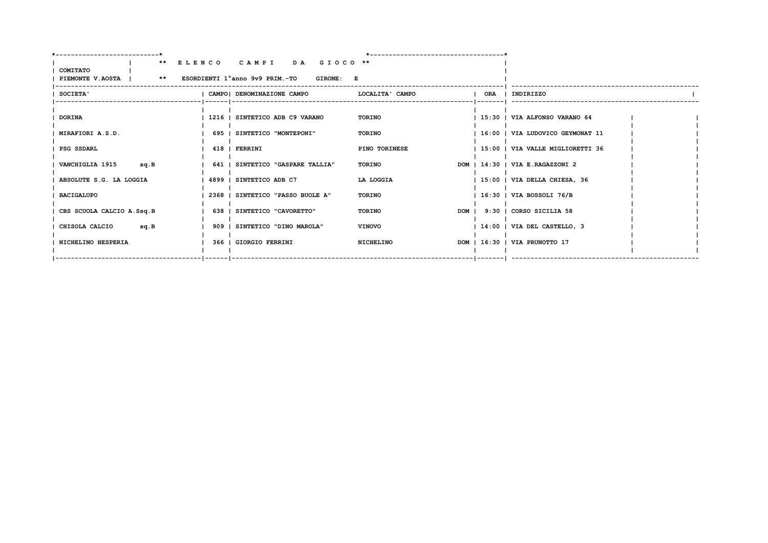|                                                                  | ** ELENCO CAMPI DA GIOCO **      |                 |  |                                  |  |
|------------------------------------------------------------------|----------------------------------|-----------------|--|----------------------------------|--|
| COMITATO<br>PIEMONTE V.AOSTA   ** ESORDIENTI 1°anno 9v9 PRIM.-TO | <b>GIRONE: E</b>                 |                 |  |                                  |  |
| <b>SOCIETA'</b>                                                  | CAMPO   DENOMINAZIONE CAMPO      | LOCALITA' CAMPO |  | ORA   INDIRIZZO                  |  |
| DORINA                                                           | 1216   SINTETICO ADB C9 VARANO   | TORINO          |  | 15:30   VIA ALFONSO VARANO 64    |  |
| MIRAFIORI A.S.D.                                                 | 695   SINTETICO "MONTEPONI"      | TORINO          |  | 16:00   VIA LUDOVICO GEYMONAT 11 |  |
| I PSG SSDARL                                                     | 418   FERRINI                    | PINO TORINESE   |  | 15:00   VIA VALLE MIGLIORETTI 36 |  |
| VANCHIGLIA 1915<br>sq.B                                          | 641   SINTETICO "GASPARE TALLIA" | TORINO          |  | DOM   14:30   VIA E.RAGAZZONI 2  |  |
| ABSOLUTE S.G. LA LOGGIA                                          | 4899   SINTETICO ADB C7          | LA LOGGIA       |  | $ 15:00 $ VIA DELLA CHIESA, 36   |  |
| <b>BACIGALUPO</b>                                                | 2368   SINTETICO "PASSO BUOLE A" | <b>TORINO</b>   |  | $1.16:30$   VIA BOSSOLI 76/B     |  |
| CBS SCUOLA CALCIO A.Ssq.B                                        | 638   SINTETICO "CAVORETTO"      | <b>TORINO</b>   |  | DOM   9:30   CORSO SICILIA 58    |  |
| CHISOLA CALCIO<br>sq.B                                           | 909   SINTETICO "DINO MAROLA"    | <b>VINOVO</b>   |  | 14:00   VIA DEL CASTELLO, 3      |  |
| NICHELINO HESPERIA                                               | 366   GIORGIO FERRINI            | NICHELINO       |  | DOM   16:30   VIA PRUNOTTO 17    |  |
|                                                                  |                                  |                 |  |                                  |  |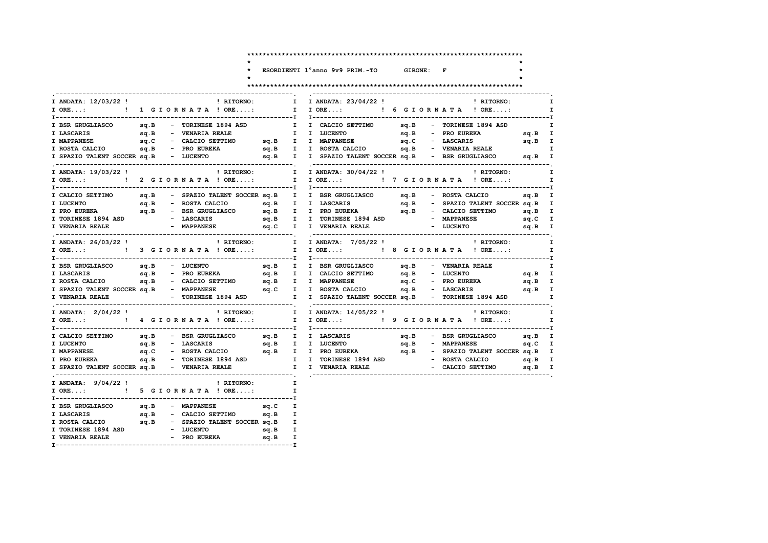ESORDIENTI 1°anno 9v9 PRIM.-TO GIRONE: F

 $\ddot{\phantom{0}}$  $\star$ 

 $\star$ 

## 

| I ANDATA: 12/03/22 !                  |      | ! RITORNO:                                        | $\mathbf{I}$ | I ANDATA: 23/04/22 !                                                                             |  | $\blacksquare$ $\blacksquare$ $\blacksquare$ $\blacksquare$ $\blacksquare$ $\blacksquare$ $\blacksquare$ $\blacksquare$ $\blacksquare$ $\blacksquare$ $\blacksquare$ $\blacksquare$ $\blacksquare$ $\blacksquare$ $\blacksquare$ $\blacksquare$ $\blacksquare$ $\blacksquare$ $\blacksquare$ $\blacksquare$ $\blacksquare$ $\blacksquare$ $\blacksquare$ $\blacksquare$ $\blacksquare$ $\blacksquare$ $\blacksquare$ $\blacksquare$ $\blacksquare$ $\blacksquare$ $\blacksquare$ $\blacks$ | I.           |
|---------------------------------------|------|---------------------------------------------------|--------------|--------------------------------------------------------------------------------------------------|--|--------------------------------------------------------------------------------------------------------------------------------------------------------------------------------------------------------------------------------------------------------------------------------------------------------------------------------------------------------------------------------------------------------------------------------------------------------------------------------------------|--------------|
|                                       |      | I ORE: ! 1 G I O R N A T A ! ORE:                 |              | I IORE: ! 6 GIORNATA ! ORE:                                                                      |  |                                                                                                                                                                                                                                                                                                                                                                                                                                                                                            | $\mathbf{I}$ |
|                                       |      | I BSR GRUGLIASCO sq.B - TORINESE 1894 ASD         |              | I CALCIO SETTIMO sq.B - TORINESE 1894 ASD                                                        |  |                                                                                                                                                                                                                                                                                                                                                                                                                                                                                            | I            |
| I LASCARIS                            | sq.B | - VENARIA REALE                                   |              | I I CALCIOS<br>I I LUCENTO                                                                       |  | sq.B - PRO EUREKA sq.B I                                                                                                                                                                                                                                                                                                                                                                                                                                                                   |              |
| <b>I MAPPANESE</b>                    | sq.C |                                                   |              | - CALCIO SETTIMO sq.B I I MAPPANESE sq.C - LASCARIS sq.B I                                       |  |                                                                                                                                                                                                                                                                                                                                                                                                                                                                                            |              |
| I ROSTA CALCIO sq.B - PRO EUREKA      |      |                                                   |              |                                                                                                  |  |                                                                                                                                                                                                                                                                                                                                                                                                                                                                                            |              |
| I SPAZIO TALENT SOCCER sq.B - LUCENTO |      |                                                   |              | sq.B I I ROSTA CALCIO sq.B - VENARIA REALE I I SPAZIO TALENT SOCCER sq.B - BSR GRUGLIASCO sq.B I |  |                                                                                                                                                                                                                                                                                                                                                                                                                                                                                            |              |
| I ANDATA: 19/03/22 !                  |      | ! RITORNO:                                        |              | I ANDATA: 30/04/22 !<br>$\mathbf{I}$                                                             |  | ! RITORNO:                                                                                                                                                                                                                                                                                                                                                                                                                                                                                 | $\mathbf{I}$ |
|                                       |      |                                                   |              |                                                                                                  |  |                                                                                                                                                                                                                                                                                                                                                                                                                                                                                            | $\mathbf{I}$ |
|                                       |      |                                                   |              | I CALCIO SETTIMO sq.B - SPAZIO TALENT SOCCER sq.B I I BSR GRUGLIASCO sq.B - ROSTA CALCIO sq.B I  |  |                                                                                                                                                                                                                                                                                                                                                                                                                                                                                            |              |
| I LUCENTO                             |      |                                                   |              |                                                                                                  |  |                                                                                                                                                                                                                                                                                                                                                                                                                                                                                            |              |
|                                       |      |                                                   |              |                                                                                                  |  |                                                                                                                                                                                                                                                                                                                                                                                                                                                                                            |              |
|                                       |      |                                                   |              |                                                                                                  |  |                                                                                                                                                                                                                                                                                                                                                                                                                                                                                            |              |
| I VENARIA REALE                       |      | - MAPPANESE 5q.C I I VENARIA REALE                |              |                                                                                                  |  | - LUCENTO                                                                                                                                                                                                                                                                                                                                                                                                                                                                                  | $sq.B$ I     |
| I ANDATA: 26/03/22 !                  |      |                                                   |              | ! RITORNO: I I ANDATA: 7/05/22 !                                                                 |  | ! RITORNO:                                                                                                                                                                                                                                                                                                                                                                                                                                                                                 | $\mathbf{I}$ |
|                                       |      | I ORE: ! 3 G I O R N A T A ! ORE:                 |              | I I ORE: ! 8 G I O R N A T A ! ORE:                                                              |  |                                                                                                                                                                                                                                                                                                                                                                                                                                                                                            | I            |
| I BSR GRUGLIASCO                      |      | sq.B - LUCENTO                                    |              | sq.B I I BSR. GRUGLIASCO sq.B - VENARIA REALE                                                    |  |                                                                                                                                                                                                                                                                                                                                                                                                                                                                                            |              |
|                                       |      |                                                   |              |                                                                                                  |  |                                                                                                                                                                                                                                                                                                                                                                                                                                                                                            |              |
|                                       |      |                                                   |              |                                                                                                  |  |                                                                                                                                                                                                                                                                                                                                                                                                                                                                                            |              |
|                                       |      |                                                   |              | I SPAZIO TALENT SOCCER SQ.B - MAPPANESE SQ.C I I ROSTA CALCIO SQ.B - LASCARIS SQ.B I             |  |                                                                                                                                                                                                                                                                                                                                                                                                                                                                                            |              |
|                                       |      |                                                   |              |                                                                                                  |  |                                                                                                                                                                                                                                                                                                                                                                                                                                                                                            |              |
| I ANDATA: 2/04/22 !                   |      | <b>EXECUTE:</b> I                                 |              | I ANDATA: 14/05/22 ! PHITORNO:                                                                   |  |                                                                                                                                                                                                                                                                                                                                                                                                                                                                                            | I.           |
|                                       |      |                                                   |              | I I ORE: ! 9 G I O R N A T A ! ORE:                                                              |  |                                                                                                                                                                                                                                                                                                                                                                                                                                                                                            | $\mathbf{I}$ |
| I CALCIO SETTIMO                      |      |                                                   |              |                                                                                                  |  | sq.B - BSR GRUGLIASCO sq.B I                                                                                                                                                                                                                                                                                                                                                                                                                                                               |              |
| I LUCENTO                             |      | sq.B - LASCARIS                                   |              | sq.B I I LUCENTO                                                                                 |  | sq.B - MAPPANESE<br>sq.C I                                                                                                                                                                                                                                                                                                                                                                                                                                                                 |              |
| <b>I MAPPANESE</b>                    | sq.C |                                                   |              |                                                                                                  |  |                                                                                                                                                                                                                                                                                                                                                                                                                                                                                            |              |
|                                       |      |                                                   |              |                                                                                                  |  |                                                                                                                                                                                                                                                                                                                                                                                                                                                                                            |              |
|                                       |      |                                                   |              |                                                                                                  |  |                                                                                                                                                                                                                                                                                                                                                                                                                                                                                            |              |
| I ANDATA: 9/04/22 !                   |      | ! RITORNO:                                        |              |                                                                                                  |  |                                                                                                                                                                                                                                                                                                                                                                                                                                                                                            |              |
|                                       |      | I ORE: ! 5 G I O R N A T A ! ORE:                 | $\mathbf{I}$ |                                                                                                  |  |                                                                                                                                                                                                                                                                                                                                                                                                                                                                                            |              |
| I BSR GRUGLIASCO                      |      | sq.B - MAPPANESE                                  | sq.C I       |                                                                                                  |  |                                                                                                                                                                                                                                                                                                                                                                                                                                                                                            |              |
| sq.B<br>I LASCARIS                    |      | - CALCIO SETTIMO sq.B I                           |              |                                                                                                  |  |                                                                                                                                                                                                                                                                                                                                                                                                                                                                                            |              |
|                                       |      | I ROSTA CALCIO 5q.B - SPAZIO TALENT SOCCER sq.B I |              |                                                                                                  |  |                                                                                                                                                                                                                                                                                                                                                                                                                                                                                            |              |
| I TORINESE 1894 ASD                   |      | - LUCENTO<br>sq.B I                               |              |                                                                                                  |  |                                                                                                                                                                                                                                                                                                                                                                                                                                                                                            |              |
| I VENARIA REALE                       |      | - PRO EUREKA sq.B I                               |              |                                                                                                  |  |                                                                                                                                                                                                                                                                                                                                                                                                                                                                                            |              |
|                                       |      |                                                   |              |                                                                                                  |  |                                                                                                                                                                                                                                                                                                                                                                                                                                                                                            |              |
|                                       |      |                                                   |              |                                                                                                  |  |                                                                                                                                                                                                                                                                                                                                                                                                                                                                                            |              |

 $\bullet$  $\star$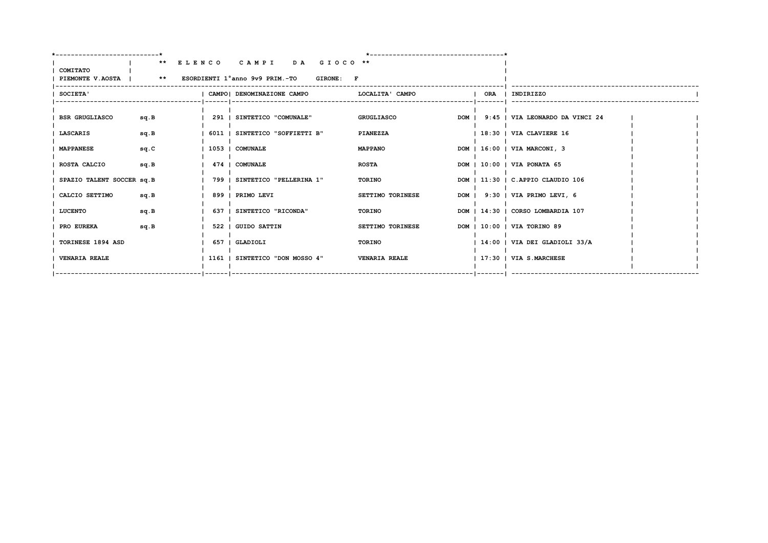| -----------------------*     |      |                                                                               |                      |  |                                       |  |
|------------------------------|------|-------------------------------------------------------------------------------|----------------------|--|---------------------------------------|--|
| COMITATO<br>PIEMONTE V.AOSTA |      | ** ELENCO CAMPI DA GIOCO **<br>** ESORDIENTI 1°anno 9v9 PRIM.-TO<br>GIRONE: F |                      |  |                                       |  |
| <b>SOCIETA'</b>              |      | CAMPO   DENOMINAZIONE CAMPO                                                   | LOCALITA' CAMPO      |  | ORA   INDIRIZZO                       |  |
| <b>BSR GRUGLIASCO</b>        | sq.B | 291   SINTETICO "COMUNALE"                                                    | <b>GRUGLIASCO</b>    |  | DOM   9:45   VIA LEONARDO DA VINCI 24 |  |
| <b>LASCARIS</b>              | sq.B | 6011   SINTETICO "SOFFIETTI B"                                                | PIANEZZA             |  | $18:30$   VIA CLAVIERE 16             |  |
| <b>MAPPANESE</b>             | sq.C | 1053   COMUNALE                                                               | <b>MAPPANO</b>       |  | DOM   16:00   VIA MARCONI, 3          |  |
| ROSTA CALCIO                 | sq.B | 474   COMUNALE                                                                | <b>ROSTA</b>         |  | DOM   10:00   VIA PONATA 65           |  |
| SPAZIO TALENT SOCCER sq. B   |      | 799   SINTETICO "PELLERINA 1"                                                 | TORINO               |  | DOM   11:30   C.APPIO CLAUDIO 106     |  |
| CALCIO SETTIMO               | sq.B | 899   PRIMO LEVI                                                              | SETTIMO TORINESE     |  | DOM   9:30   VIA PRIMO LEVI, 6        |  |
| <b>LUCENTO</b>               | sq.B | 637   SINTETICO "RICONDA"                                                     | TORINO               |  | DOM   14:30   CORSO LOMBARDIA 107     |  |
| PRO EUREKA                   | sq.B | 522   GUIDO SATTIN                                                            | SETTIMO TORINESE     |  | DOM   10:00   VIA TORINO 89           |  |
| TORINESE 1894 ASD            |      | 657   GLADIOLI                                                                | TORINO               |  | 14:00   VIA DEI GLADIOLI 33/A         |  |
| <b>VENARIA REALE</b>         |      | 1161   SINTETICO "DON MOSSO 4"                                                | <b>VENARIA REALE</b> |  | 17:30   VIA S.MARCHESE                |  |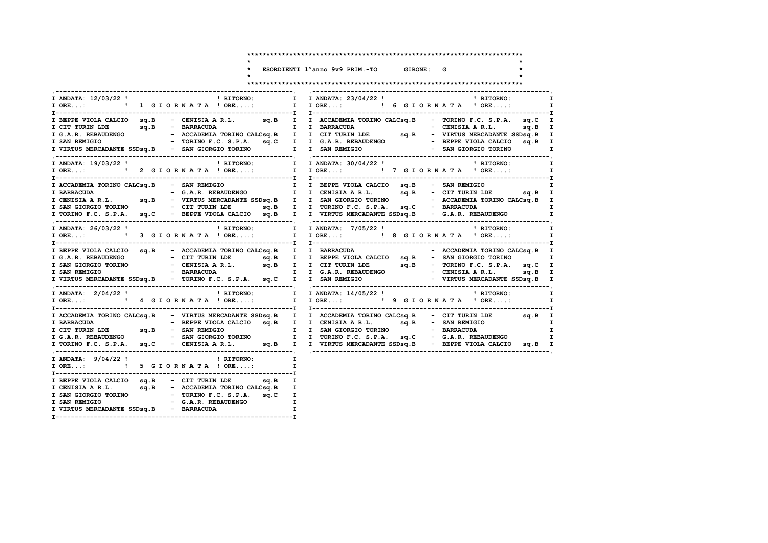\* ESORDIENTI 1°anno 9v9 PRIM.-TO GIRONE: G

 $\star$ 

 $\star$ 

| I ANDATA: 12/03/22 !<br>! RITORNO:                                                                                                                                                                                                                 | I ANDATA: 23/04/22 !<br>! RITORNO:<br>$\mathbf{I}$<br>$\mathbf{I}$                                                                                                                                                                   |
|----------------------------------------------------------------------------------------------------------------------------------------------------------------------------------------------------------------------------------------------------|--------------------------------------------------------------------------------------------------------------------------------------------------------------------------------------------------------------------------------------|
|                                                                                                                                                                                                                                                    | T<br>T-AMIRINIDE SIDSQ.B - CENISIA R.L. SQ.B I ACCADEMIA TORINO CALCSQ.B - TORINO F.C. S.P.A. SQ.B I<br>I G.A.R. REBAUDENGO - ACCADEMIA TORINO CALCSQ.B - TORINO F.C. S.P.A. SQ.C I<br>I G.A.R. REBAUDENGO - ACCADEMIA TORINO CALCSQ |
| ! RITORNO: I I ANDATA: 30/04/22 !<br>I ANDATA: 19/03/22 !<br>I ORE:  1 I ORE:  1 I ORE:  1 I ORE:  1 I ORE:  1 I ORE:  1 I ORE:  1 I ORE                                                                                                           | ! RITORNO:<br>$\mathbf{I}$<br>I                                                                                                                                                                                                      |
|                                                                                                                                                                                                                                                    | I ACCADEMIA TORINO CALCSQ.B - SAN REMIGIO<br>I BARRACUDA - G.A.R. REBAUDENGO I I CENISIA A R.L. sq.B - CIT TURIN LDE sq.B I<br>I CENISIA A R.L. sq.B - VIRTUS MERCADANTE SSDsq.B I I SAN GIORGIO TORINO - CIT TURIN LDE sq.B - CIT   |
| I ANDATA: 26/03/22 !<br>! RITORNO:<br>I ORE: ! 3 G I OR N A T A ! ORE:                                                                                                                                                                             | ! RITORNO:<br>I IANDATA: 7/05/22!<br>$\mathbf{I}$<br>I I ORE: ! 8 G I O R N A T A ! ORE:<br>I                                                                                                                                        |
|                                                                                                                                                                                                                                                    | 1 BEPPE VIOLA CALCIO Sq.B - ACCADEMIA TORINO CALCSq.B I I BARRACUDA - ACCADEMIA TORINO CALCSq.B - ACCADEMIA TORINO CALCSq.B I - ACCADEMIA TORINO CALCSq.B - CENTRIN LDE Sq.B - SAN GIORGIO TORINO - CENTRIN AR.L. Sq.B I I BEP       |
| ! RITORNO: I I ANDATA: 14/05/22 !<br>I ANDATA: 2/04/22 !                                                                                                                                                                                           | ! RITORNO:<br>I<br>I                                                                                                                                                                                                                 |
|                                                                                                                                                                                                                                                    |                                                                                                                                                                                                                                      |
| I ANDATA: 9/04/22!<br>! RITORNO:<br>I ORE: ! 5 G I OR N A T A ! ORE:                                                                                                                                                                               | I.<br>I                                                                                                                                                                                                                              |
| I BEPPE VIOLA CALCIO sq.B - CIT TURIN LDE sq.B I<br>I CENISIA A R.L. $sq.B$ - ACCADEMIA TORINO CALCS $q.B$ - TORINO CALCS $q.B$ - TORINO F.C. S.P.A. sq.C I<br>I SAN REMIGIO - G.A.R. REBAUDENGO - I<br>I VIRTUS MERCADANTE SSDsq.B<br>- BARRACUDA |                                                                                                                                                                                                                                      |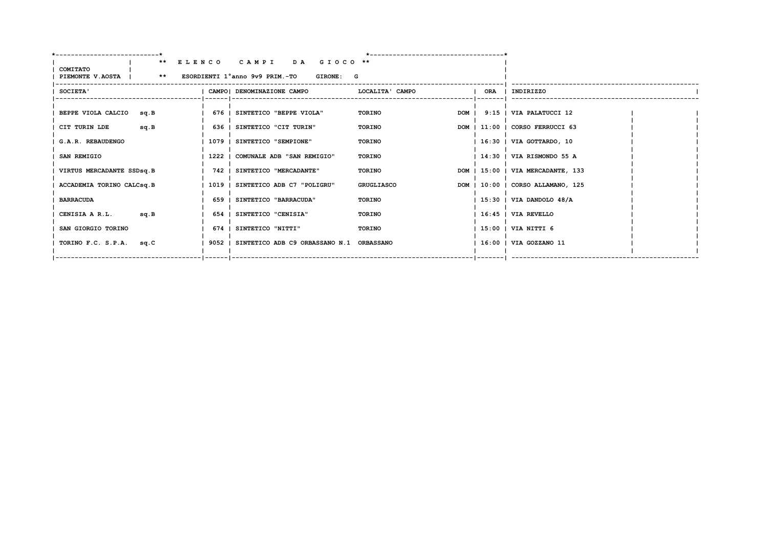|                                                      | ** ELENCO CAMPI DA GIOCO **                     |                   |     |                                   |  |
|------------------------------------------------------|-------------------------------------------------|-------------------|-----|-----------------------------------|--|
| <b>COMITATO</b>                                      |                                                 |                   |     |                                   |  |
| PIEMONTE V.AOSTA   ** ESORDIENTI 1°anno 9v9 PRIM.-TO | GIRONE: G                                       |                   |     |                                   |  |
| SOCIETA'                                             | CAMPO   DENOMINAZIONE CAMPO                     | LOCALITA' CAMPO   | ORA | I INDIRIZZO                       |  |
|                                                      |                                                 |                   |     |                                   |  |
| BEPPE VIOLA CALCIO<br>sq.B                           | 676   SINTETICO "BEPPE VIOLA"                   | TORINO<br>DOM I   |     | 9:15   VIA PALATUCCI 12           |  |
| CIT TURIN LDE<br>sq.B                                | 636   SINTETICO "CIT TURIN"                     | TORINO            |     | DOM   11:00   CORSO FERRUCCI 63   |  |
|                                                      |                                                 |                   |     |                                   |  |
| G.A.R. REBAUDENGO                                    | 1079   SINTETICO "SEMPIONE"                     | TORINO            |     | 16:30   VIA GOTTARDO, 10          |  |
| SAN REMIGIO                                          | 1222   COMUNALE ADB "SAN REMIGIO"               | <b>TORINO</b>     |     | 14:30   VIA RISMONDO 55 A         |  |
|                                                      |                                                 |                   |     |                                   |  |
| VIRTUS MERCADANTE SSDsq.B                            | 742   SINTETICO "MERCADANTE"                    | TORINO            |     | DOM   15:00   VIA MERCADANTE, 133 |  |
| ACCADEMIA TORINO CALCsq.B                            | 1019   SINTETICO ADB C7 "POLIGRU"               | <b>GRUGLIASCO</b> |     | DOM   10:00   CORSO ALLAMANO, 125 |  |
|                                                      |                                                 |                   |     |                                   |  |
| <b>BARRACUDA</b>                                     | 659   SINTETICO "BARRACUDA"                     | TORINO            |     | $15:30$   VIA DANDOLO $48/A$      |  |
| CENISIA A R.L.<br>sq.B                               | 654   SINTETICO "CENISIA"                       | <b>TORINO</b>     |     | 16:45   VIA REVELLO               |  |
|                                                      |                                                 |                   |     |                                   |  |
| SAN GIORGIO TORINO                                   | 674   SINTETICO "NITTI"                         | <b>TORINO</b>     |     | 15:00   VIA NITTI 6               |  |
| TORINO F.C. S.P.A.                                   | 9052   SINTETICO ADB C9 ORBASSANO N.1 ORBASSANO |                   |     | 16:00   VIA GOZZANO 11            |  |
| sq.C                                                 |                                                 |                   |     |                                   |  |
|                                                      |                                                 |                   |     |                                   |  |
|                                                      |                                                 |                   |     |                                   |  |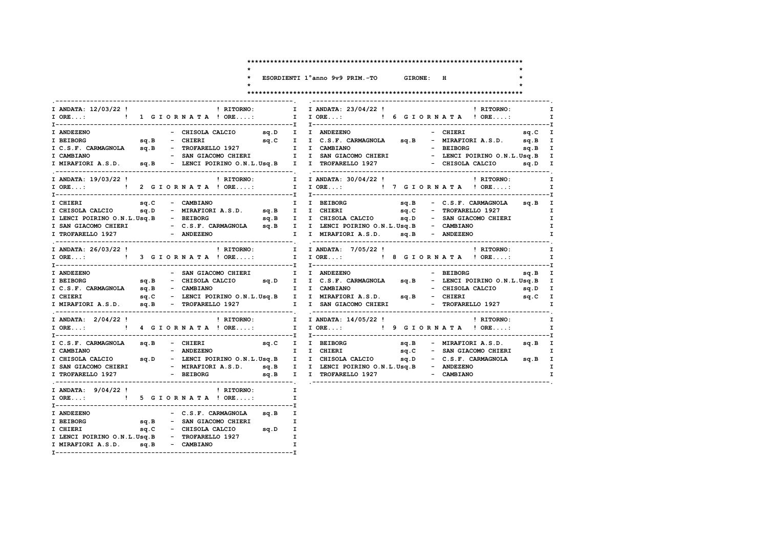ESORDIENTI 1°anno 9v9 PRIM.-TO GIRONE: H ! RITORNO: I IORE...: ! 6 GIORNATA ! ORE....: I ORE...: ! 1 G I O R N A T A ! ORE....: T ANDEZENO I BEIBORG 5q.B - CHIERI 5q.C I I C.S.F. CARMAGNOLA 5q.B - MIRAFIORIA.S.D. 5q.B I I C.S.F. CARMAGNOLA Sq.B - TROFARELLO 1927 I I CAMBIANO - BEIBORG<br>I C.S.F. CARMAGNOLA Sq.B - TROFARELLO 1927 I I CAMBIANO - BEIBORG - BEIBORG - SAN GIACOMO CHIERI I I SAN GIACOMO CHIERI sa.B I - LENCI POIRINO O.N.L.Usa.B I I MIRAFIORI A.S.D. sq.B - LENCI POIRINO O.N.L.Usq.B I I TROFARELLO 1927 - CHISOLA CALCIO sq.D I I ANDATA: 19/03/22 ' ! RITORNO: I I ANDATA: 30/04/22 !  $I$   $D$ TTODNO $\cdot$ I ORE...: ! 2 GIORNATA ! ORE....: I I ORE...: ! 7 G I OR N A T A ! ORE....: sq.C - CAMBIANO sq.B - C.S.F. CARMAGNOLA sq.B I I CHIERI I I BEIBORG I CHISOLA CALCIO sq.D - MIRAFIORI A.S.D. sq.B I I CHIERI sq.C - TROFARELLO 1927  $\mathbf{r} = \mathbf{r} + \mathbf{r}$  $\mathbf{\tau}$ I SAN GIACOMO CHIERI - C.S.F. CARMAGNOLA sq.B I I LENCI POIRINO O.N.L.Usq.B - CAMBIANO I TROFARELLO 1927 - ANDEZENO I I MIRAFIORI A.S.D. sq.B - ANDEZENO  $\mathbf{r}$ I ANDATA:  $26/03/22$  !<br>  $\frac{1}{2}$  RITORNO: I I ANDATA:  $7/05/22$  ! **! RITORNO:** I ORE...: ! 3 G I OR N A T A ! ORE....: I I ORE...: ! 8 G I OR N A T A ! ORE....: I ANDEZENO - SAN GIACOMO CHIERI (I) I ANDEZENO - BEIBORG  $sq.B$  I I BEIBORG sq.B - CHISOLA CALCIO sq.D I I C.S.F. CARMAGNOLA sq.B - LENCI POIRINO O.N.L.Usq.B I I C.S.F. CARMAGNOLA sq.B - CAMBIANO I CHIERI sq.C - LENCI POIRINO O.N.L.Usq.B I I MIRAFIORI A.S.D. sq.B - CHIERI sq.C I I MIRAFIORI A.S.D. sq.B - TROFARELLO 1927 I I SAN GIACOMO CHIERI - TROFARELLO 1927 I ANDATA: 2/04/22 ! I RITORNO: I I ANDATA: 14/05/22 ! ! RITORNO: I I ORE...: ! 9 G I O R N A T A ! ORE....: I C.S.F. CARMAGNOLA sq.B - CHIERI sq.C I I BEIBORG<br>I CAMBIANO - ANDEZENO I I CHIERI sq.B - MIRAFIORI A.S.D. sq.B I sq.C - SAN GIACOMO CHIERI  $\mathbf{\tau}$ I CHISOLA CALCIO sq. D - LENCI POIRINO O.N.L.Usq. B I I CHISOLA CALCIO sq.D - C.S.F. CARMAGNOLA sq.B I I SAN GIACOMO CHIERI - MIRAFIORI A.S.D. sq.B I I LENCI POIRINO O.N.L.Usq.B - ANDEZENO I I TROFARELLO 1927 - BEIBORG sq.B I I TROFARELLO 1927  $-$  CAMBTANO  $\mathbf{T}$  $\mathbf{I}$ ! RITORNO: I ANDATA: 9/04/22! I ORE...: ! 5 G I OR N A T A ! ORE....:  $\mathbf{\tau}$ - C.S.F. CARMAGNOLA sq.B I T ANDEZENO T BETBORG sq.B - SAN GIACOMO CHIERI I sq.C - CHISOLA CALCIO sq.D I I CHIERI I LENCI POIRINO O.N.L.Usq.B - TROFARELLO 1927  $\mathbf{T}$ 

 $\mathbf{r}$ 

I MIRAFIORI A.S.D.  $sa.B$  - CAMBIANO

 $\mathbf{r}$ 

 $\mathbf{r}$ 

 $\mathbf{\tau}$ 

 $T$ 

 $\mathbf{r}$ 

 $\mathbf{r}$ 

 $\mathbf{\tau}$ 

 $\mathbf{\tau}$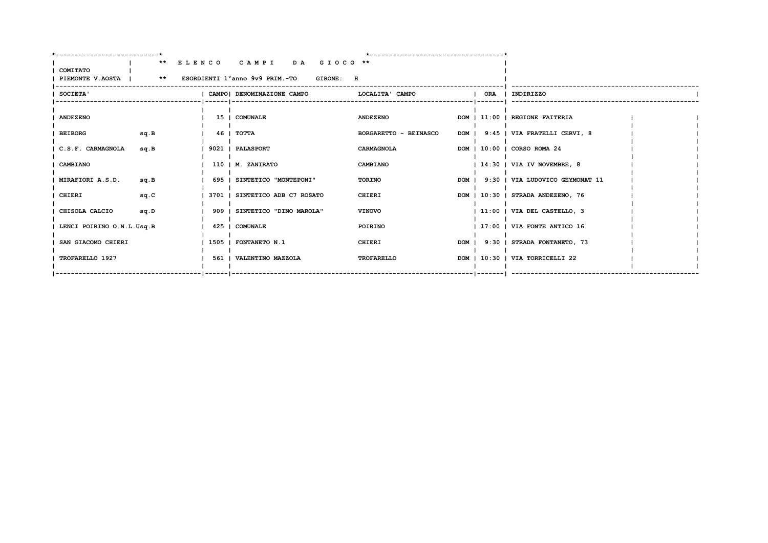|                           | ------------------------ |                                                                                               |                              |  |                                       |  |
|---------------------------|--------------------------|-----------------------------------------------------------------------------------------------|------------------------------|--|---------------------------------------|--|
| COMITATO                  |                          | ** ELENCO CAMPI DA GIOCO **<br>PIEMONTE V.AOSTA   ** ESORDIENTI 1°anno 9v9 PRIM.-TO GIRONE: H |                              |  |                                       |  |
| SOCIETA'                  |                          | I CAMPOI DENOMINAZIONE CAMPO                                                                  | LOCALITA' CAMPO              |  | ORA   INDIRIZZO                       |  |
| <b>ANDEZENO</b>           |                          | 15   COMUNALE                                                                                 | <b>ANDEZENO</b>              |  | DOM   11:00   REGIONE FAITERIA        |  |
| <b>BEIBORG</b><br>sq.B    |                          | 46 I TOTTA                                                                                    | <b>BORGARETTO - BEINASCO</b> |  | DOM   9:45   VIA FRATELLI CERVI, 8    |  |
| C.S.F. CARMAGNOLA<br>sq.B |                          | 9021   PALASPORT                                                                              | CARMAGNOLA                   |  | DOM   10:00   CORSO ROMA 24           |  |
| <b>CAMBIANO</b>           |                          | 110   M. ZANIRATO                                                                             | CAMBIANO                     |  | $ 14:30 $ VIA IV NOVEMBRE, 8          |  |
| MIRAFIORI A.S.D.<br>sq.B  |                          | 695   SINTETICO "MONTEPONI"                                                                   | TORINO                       |  | DOM   9:30   VIA LUDOVICO GEYMONAT 11 |  |
| CHIERI<br>sq.C            |                          | 3701   SINTETICO ADB C7 ROSATO                                                                | CHIERI                       |  | DOM   10:30   STRADA ANDEZENO, 76     |  |
| CHISOLA CALCIO<br>sq.D    |                          | 909   SINTETICO "DINO MAROLA"                                                                 | <b>VINOVO</b>                |  | 11:00   VIA DEL CASTELLO, 3           |  |
| LENCI POIRINO O.N.L.Usq.B |                          | 425   COMUNALE                                                                                | POIRINO                      |  | 17:00   VIA FONTE ANTICO 16           |  |
| SAN GIACOMO CHIERI        |                          | 1505   FONTANETO N.1                                                                          | CHIERI                       |  | DOM   9:30   STRADA FONTANETO, 73     |  |
| TROFARELLO 1927           |                          | 561   VALENTINO MAZZOLA                                                                       | <b>TROFARELLO</b>            |  | DOM   10:30   VIA TORRICELLI 22       |  |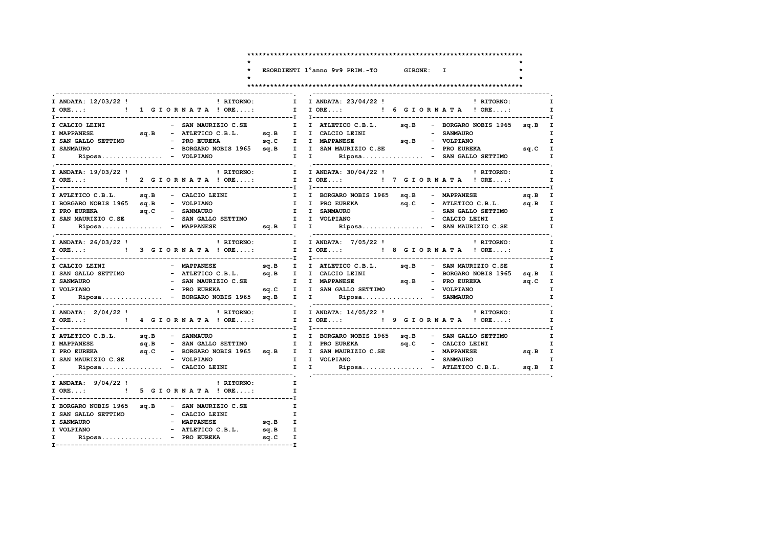$\ddot{\phantom{0}}$  $\star$  $\star$ 

## ESORDIENTI 1°anno 9v9 PRIM.-TO

 $\mathbf{r}$  $\star$ 

GIRONE: I

| I ANDATA: 12/03/22 ! PRITORNO:                                                                                                                      |                                                        |              | $\mathbf{I}$ |                              |                      |  | I ANDATA: 23/04/22 ! PHITORNO:                                                                 |              |
|-----------------------------------------------------------------------------------------------------------------------------------------------------|--------------------------------------------------------|--------------|--------------|------------------------------|----------------------|--|------------------------------------------------------------------------------------------------|--------------|
| I ORE: ! 1 G I OR N A T A ! ORE:                                                                                                                    |                                                        |              |              |                              |                      |  | I IORE: ! 6 GIORNATA ! ORE:                                                                    |              |
|                                                                                                                                                     |                                                        |              |              |                              |                      |  |                                                                                                |              |
|                                                                                                                                                     |                                                        |              |              |                              |                      |  |                                                                                                |              |
| I SAN GALLO SETTIMO - PRO EUREKA                                                                                                                    |                                                        |              |              |                              |                      |  |                                                                                                |              |
| I SANMAURO                                                                                                                                          |                                                        |              |              |                              |                      |  | - BORGARO NOBIS 1965 sq.B I I SAN MAURIZIO C.SE - PRO EUREKA sq.C I                            |              |
| $\mathbf{I}$ and $\mathbf{I}$                                                                                                                       | $Riposa. - VOLPIANO$                                   |              |              |                              |                      |  | I I Riposa - SAN GALLO SETTIMO I                                                               |              |
| I ANDATA: 19/03/22 !                                                                                                                                |                                                        | ! RITORNO:   | $\mathbf{I}$ |                              | I ANDATA: 30/04/22 ! |  | ! RITORNO:                                                                                     |              |
| I ORE: ! 2 G I OR N A T A ! ORE: I I ORE: ! 7 G I OR N A T A ! ORE:                                                                                 |                                                        |              |              |                              |                      |  |                                                                                                | $\mathbf{I}$ |
|                                                                                                                                                     |                                                        |              |              |                              |                      |  |                                                                                                |              |
| I ATLETICO C.B.L. sq.B - CALCIO LEINI                                                                                                               |                                                        |              |              |                              |                      |  | I I BORGARO NOBIS 1965 sq.B - MAPPANESE sq.B I<br>I I PRO EUREKA sq.C - ATLETICO C.B.L. sq.B I |              |
| I BORGARO NOBIS 1965 sq.B - VOLPIANO                                                                                                                |                                                        |              |              |                              |                      |  |                                                                                                |              |
| I PRO EUREKA sq.C - SANMAURO<br>I SAN MAURIZIO C.SE - SAN GALLO SETTIMO                                                                             |                                                        |              |              | I I SANMAURO<br>I I VOLPIANO |                      |  |                                                                                                |              |
|                                                                                                                                                     |                                                        |              |              |                              |                      |  | - CALCIO LEINI                                                                                 |              |
| $\mathbf{I}$ and $\mathbf{I}$                                                                                                                       | Riposa - MAPPANESE                                     |              |              |                              |                      |  | sq.B I I Riposa - SAN MAURIZIO C.SE                                                            |              |
| I ANDATA: 26/03/22 !                                                                                                                                |                                                        |              |              |                              |                      |  |                                                                                                | $\mathbf{I}$ |
| I ORE: ! 3 G I O R N A T A ! ORE: I I ORE: ! 8 G I O R N A T A ! ORE:                                                                               |                                                        |              |              |                              |                      |  |                                                                                                |              |
| I CALCIO LEINI                                                                                                                                      | - MAPPANESE                                            |              |              |                              |                      |  | sq.B I I ATLETICO C.B.L. sq.B - SAN MAURIZIO C.SE                                              |              |
|                                                                                                                                                     |                                                        |              |              |                              |                      |  |                                                                                                |              |
|                                                                                                                                                     |                                                        |              |              |                              |                      |  |                                                                                                |              |
| I VOLPIANO                                                                                                                                          | - PRO EUREKA sq.C I I SAN GALLO SETTIMO - VOLPIANO     |              |              |                              |                      |  |                                                                                                |              |
| $\mathbf{I}$ and $\mathbf{I}$                                                                                                                       | Riposa - BORGARO NOBIS 1965 sq.B I I Riposa - SANMAURO |              |              |                              |                      |  |                                                                                                |              |
| I ANDATA: 2/04/22 !                                                                                                                                 |                                                        | ! RITORNO: I |              |                              |                      |  | I ANDATA: 14/05/22 ! 1 NORMO: I                                                                |              |
|                                                                                                                                                     |                                                        |              |              |                              |                      |  | I IORE: ! 9 GIORNATA ! ORE:                                                                    |              |
| I ATLETICO C.B.L. sq.B - SANMAURO                                                                                                                   |                                                        |              |              |                              |                      |  | I I BORGARO NOBIS 1965 sq.B - SAN GALLO SETTIMO                                                | $\mathbf{I}$ |
|                                                                                                                                                     |                                                        |              |              |                              |                      |  |                                                                                                |              |
|                                                                                                                                                     |                                                        |              |              |                              |                      |  |                                                                                                | sq.B I       |
|                                                                                                                                                     |                                                        |              |              |                              |                      |  |                                                                                                |              |
|                                                                                                                                                     |                                                        |              |              |                              |                      |  |                                                                                                |              |
| I ANDATA: 9/04/22 !                                                                                                                                 |                                                        | ! RITORNO:   | $\mathbf{I}$ |                              |                      |  |                                                                                                |              |
|                                                                                                                                                     |                                                        |              |              |                              |                      |  |                                                                                                |              |
|                                                                                                                                                     |                                                        |              |              |                              |                      |  |                                                                                                |              |
|                                                                                                                                                     |                                                        |              |              |                              |                      |  |                                                                                                |              |
|                                                                                                                                                     |                                                        |              | $\mathbf{I}$ |                              |                      |  |                                                                                                |              |
|                                                                                                                                                     |                                                        |              | $\mathbf{I}$ |                              |                      |  |                                                                                                |              |
|                                                                                                                                                     |                                                        |              |              |                              |                      |  |                                                                                                |              |
| I ORE: ! 5 G I OR N A T A ! ORE:<br>I BORGARO NOBIS 1965 sq.B - SAN MAURIZIO C.SE<br>I SAN GALLO SETTIMO - CALCIO LEINI<br>I SANMAURO<br>I VOLPIANO | - MAPPANESE                                            | sq.B I       |              |                              |                      |  |                                                                                                |              |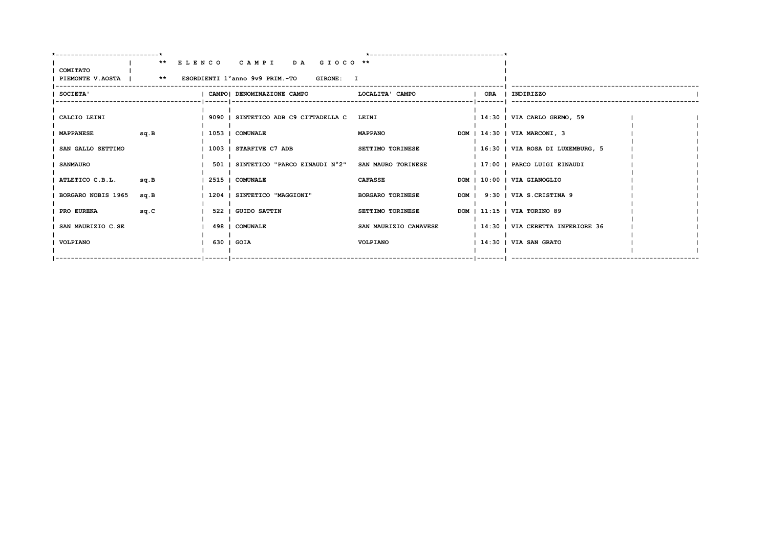|                    |      | ** ELENCO CAMPI DA GIOCO **                                    |                         |                                  |  |
|--------------------|------|----------------------------------------------------------------|-------------------------|----------------------------------|--|
| COMITATO           |      | PIEMONTE V.AOSTA   ** ESORDIENTI 1°anno 9v9 PRIM.-TO GIRONE: I |                         |                                  |  |
|                    |      |                                                                |                         |                                  |  |
| <b>SOCIETA'</b>    |      | CAMPO  DENOMINAZIONE CAMPO   LOCALITA' CAMPO                   |                         | ORA   INDIRIZZO                  |  |
|                    |      |                                                                |                         |                                  |  |
| CALCIO LEINI       |      | 1 9090 I SINTETICO ADB C9 CITTADELLA C LEINI                   |                         | 14:30   VIA CARLO GREMO, 59      |  |
|                    |      |                                                                |                         |                                  |  |
| <b>MAPPANESE</b>   | sq.B | 1053   COMUNALE                                                | <b>MAPPANO</b>          | DOM   14:30   VIA MARCONI, 3     |  |
|                    |      |                                                                |                         |                                  |  |
| SAN GALLO SETTIMO  |      | 1 1003 1 STARFIVE C7 ADB                                       | <b>SETTIMO TORINESE</b> | 16:30   VIA ROSA DI LUXEMBURG, 5 |  |
| <b>SANMAURO</b>    |      | 501   SINTETICO "PARCO EINAUDI N°2"                            | SAN MAURO TORINESE      | 17:00   PARCO LUIGI EINAUDI      |  |
|                    |      |                                                                |                         |                                  |  |
| ATLETICO C.B.L.    | sq.B | 2515   COMUNALE                                                | <b>CAFASSE</b>          | DOM   10:00   VIA GIANOGLIO      |  |
| BORGARO NOBIS 1965 | sa.B | 1204   SINTETICO "MAGGIONI"                                    | <b>BORGARO TORINESE</b> | DOM   9:30   VIA S.CRISTINA 9    |  |
|                    |      |                                                                |                         |                                  |  |
| PRO EUREKA         | sq.C | I 522 I GUIDO SATTIN                                           | <b>SETTIMO TORINESE</b> | DOM   11:15   VIA TORINO 89      |  |
|                    |      |                                                                |                         |                                  |  |
| SAN MAURIZIO C.SE  |      | 498   COMUNALE                                                 | SAN MAURIZIO CANAVESE   | 14:30   VIA CERETTA INFERIORE 36 |  |
| VOLPIANO           |      | 630   GOIA                                                     | VOLPIANO                | $ 14:30 $ VIA SAN GRATO          |  |
|                    |      |                                                                |                         |                                  |  |
|                    |      |                                                                |                         |                                  |  |
|                    |      |                                                                |                         |                                  |  |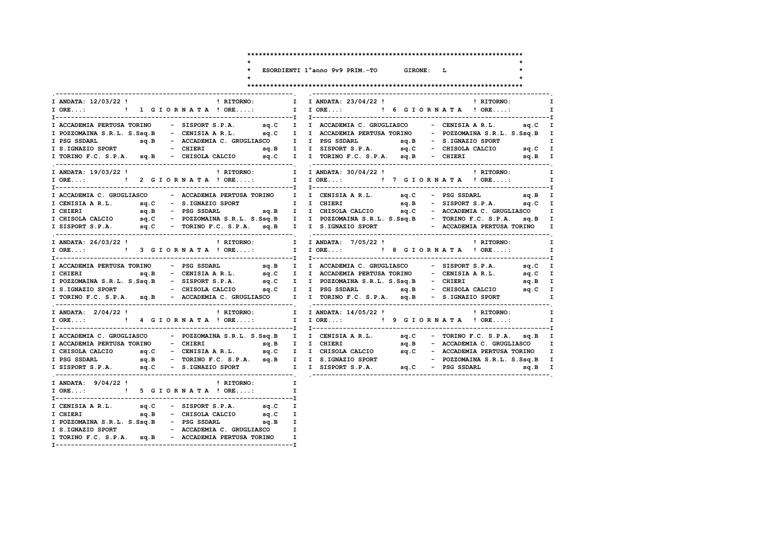ESORDIENTI 1°anno 9v9 PRIM.-TO GIRONE: L

 $\ddot{\phantom{0}}$  $\star$ 

 $\star$ 

## 

| I ANDATA: 12/03/22 !<br><b>Example 1</b> RITORNO:<br>I ANDATA: 23/04/22 !<br>$\mathbf{I}$<br><b>Example 12 In Property Property Property</b> Property Property Property Property Property Property Property Property Property Property Property Property Property Property Property Property Property Property Property Property<br>I IORE: ! 6 GIORNATA ! ORE:<br>I ORE: ! 1 G I O R N A T A ! ORE:<br>I ACCADEMIA PERTUSA TORINO - SISPORT S.P.A. 9q.C I I ACCADEMIA C. GRUGLIASCO - CENISIA A R.L. 9q.C I<br>sq.C I I ACCADEMIA PERTUSA TORINO - POZZOMAINA S.R.L. S.Ssq.B I<br>I POZZOMAINA S.R.L. S.Ssq.B - CENISIA A R.L.<br>sq.B - ACCADEMIA C. GRUGLIASCO I I PSG SSDARL sq.B - S.IGNAZIO SPORT<br>I PSG SSDARL<br>I ANDATA: 19/03/22 !<br>! RITORNO:<br>I I ANDATA: 30/04/22 !<br>! RITORNO:<br>I ACCADEMIA C. GRUGLIASCO - ACCADEMIA PERTUSA TORINO I I CENISIA A R.L. sq.C - PSG SSDARL sq.B I<br>I I CHIERI sq.B - SISPORT S.P.A. sq.C I<br>I CENISIA A R.L. sq.C - S.IGNAZIO SPORT<br>I SISPORT S.P.A. 5q.C - TORINO F.C. S.P.A. 5q.B I I S.IGNAZIO SPORT - ACCADEMIA PERTUSA TORINO<br>I ANDATA: 26/03/22 !<br>! RITORNO: I I ANDATA: 7/05/22 !<br>! RITORNO:<br>I ACCADEMIA PERTUSA TORINO - PSG SSDARL sq.B I I ACCADEMIA C. GRUGLIASCO - SISPORT S.P.A. sq.C I<br>sq.B<br>- CENISIA AR.L. sq.C I I ACCADEMIA PERTUSA TORINO - CENISIA AR.L. sq.C I<br>I CHIERI<br>I POZZOMAINA S.R.L. S.Ssq.B - SISPORT S.P.A. sq.C I I POZZOMAINA S.R.L. S.Ssq.B - CHIERI sq.B I I S.IGNAZIO SPORT - CHISOLA CALCIO sq.C I I PSG SSDARL sq.B - CHISOLA CALCIO sq.C I<br>I TORINO F.C. S.P.A. sq.B - ACCADEMIA C. GRUGLIASCO I I TORINO F.C. S.P.A. sq.B - S.IGNAZIO SPORT<br>! RITORNO: I I ANDATA: 14/05/22 !<br>I ANDATA: 2/04/22 !<br><b>EXECUTE:</b> RITORNO:<br>I ACCADEMIA C. GRUGLIASCO - POZZOMAINA S.R.L. S.Ssq.B I I CENISIA A R.L. sq.C - TORINO F.C. S.P.A. sq.B I<br>I ACCADEMIA PERTUSA TORINO - CHIERI 99.B I I CHIERI 99.B - ACCADEMIA C. GRUGLIASCO I I CHISOLA CALCIO 99.C - CENISIA A R.L. 99.C I I CHISOLA CALCIO 99.C - ACCADEMIA PERTUSA TORINO I I PSG SSDARL 99.B - TORINO F.C. S.P.A. 9<br>I ANDATA: $9/04/22$ ! I RITORNO:<br>$\mathbf{I}$<br>I ORE: ! 5 G I O R N A T A ! ORE:<br>$\mathbf{I}$<br>I CENISIA A R.L. sq.C - SISPORT S.P.A. sq.C<br>$\mathbf{I}$<br>sq.C I<br>I POZZOMAINA S.R.L. S.Ssq.B - PSG SSDARL sq.B I |              |
|---------------------------------------------------------------------------------------------------------------------------------------------------------------------------------------------------------------------------------------------------------------------------------------------------------------------------------------------------------------------------------------------------------------------------------------------------------------------------------------------------------------------------------------------------------------------------------------------------------------------------------------------------------------------------------------------------------------------------------------------------------------------------------------------------------------------------------------------------------------------------------------------------------------------------------------------------------------------------------------------------------------------------------------------------------------------------------------------------------------------------------------------------------------------------------------------------------------------------------------------------------------------------------------------------------------------------------------------------------------------------------------------------------------------------------------------------------------------------------------------------------------------------------------------------------------------------------------------------------------------------------------------------------------------------------------------------------------------------------------------------------------------------------------------------------------------------------------------------------------------------------------------------------------------------------------------------------------------------------------------------------------------------------------------------------------------------------------------------------------------------------------------------------------------------------------------------------------------------------------------------------------------------------------------------------------------------------------------------------|--------------|
|                                                                                                                                                                                                                                                                                                                                                                                                                                                                                                                                                                                                                                                                                                                                                                                                                                                                                                                                                                                                                                                                                                                                                                                                                                                                                                                                                                                                                                                                                                                                                                                                                                                                                                                                                                                                                                                                                                                                                                                                                                                                                                                                                                                                                                                                                                                                                         | $\mathbf{I}$ |
|                                                                                                                                                                                                                                                                                                                                                                                                                                                                                                                                                                                                                                                                                                                                                                                                                                                                                                                                                                                                                                                                                                                                                                                                                                                                                                                                                                                                                                                                                                                                                                                                                                                                                                                                                                                                                                                                                                                                                                                                                                                                                                                                                                                                                                                                                                                                                         | $\mathbf{I}$ |
|                                                                                                                                                                                                                                                                                                                                                                                                                                                                                                                                                                                                                                                                                                                                                                                                                                                                                                                                                                                                                                                                                                                                                                                                                                                                                                                                                                                                                                                                                                                                                                                                                                                                                                                                                                                                                                                                                                                                                                                                                                                                                                                                                                                                                                                                                                                                                         |              |
|                                                                                                                                                                                                                                                                                                                                                                                                                                                                                                                                                                                                                                                                                                                                                                                                                                                                                                                                                                                                                                                                                                                                                                                                                                                                                                                                                                                                                                                                                                                                                                                                                                                                                                                                                                                                                                                                                                                                                                                                                                                                                                                                                                                                                                                                                                                                                         |              |
|                                                                                                                                                                                                                                                                                                                                                                                                                                                                                                                                                                                                                                                                                                                                                                                                                                                                                                                                                                                                                                                                                                                                                                                                                                                                                                                                                                                                                                                                                                                                                                                                                                                                                                                                                                                                                                                                                                                                                                                                                                                                                                                                                                                                                                                                                                                                                         | I            |
|                                                                                                                                                                                                                                                                                                                                                                                                                                                                                                                                                                                                                                                                                                                                                                                                                                                                                                                                                                                                                                                                                                                                                                                                                                                                                                                                                                                                                                                                                                                                                                                                                                                                                                                                                                                                                                                                                                                                                                                                                                                                                                                                                                                                                                                                                                                                                         |              |
|                                                                                                                                                                                                                                                                                                                                                                                                                                                                                                                                                                                                                                                                                                                                                                                                                                                                                                                                                                                                                                                                                                                                                                                                                                                                                                                                                                                                                                                                                                                                                                                                                                                                                                                                                                                                                                                                                                                                                                                                                                                                                                                                                                                                                                                                                                                                                         |              |
|                                                                                                                                                                                                                                                                                                                                                                                                                                                                                                                                                                                                                                                                                                                                                                                                                                                                                                                                                                                                                                                                                                                                                                                                                                                                                                                                                                                                                                                                                                                                                                                                                                                                                                                                                                                                                                                                                                                                                                                                                                                                                                                                                                                                                                                                                                                                                         | I            |
|                                                                                                                                                                                                                                                                                                                                                                                                                                                                                                                                                                                                                                                                                                                                                                                                                                                                                                                                                                                                                                                                                                                                                                                                                                                                                                                                                                                                                                                                                                                                                                                                                                                                                                                                                                                                                                                                                                                                                                                                                                                                                                                                                                                                                                                                                                                                                         | $\mathbf{I}$ |
|                                                                                                                                                                                                                                                                                                                                                                                                                                                                                                                                                                                                                                                                                                                                                                                                                                                                                                                                                                                                                                                                                                                                                                                                                                                                                                                                                                                                                                                                                                                                                                                                                                                                                                                                                                                                                                                                                                                                                                                                                                                                                                                                                                                                                                                                                                                                                         |              |
|                                                                                                                                                                                                                                                                                                                                                                                                                                                                                                                                                                                                                                                                                                                                                                                                                                                                                                                                                                                                                                                                                                                                                                                                                                                                                                                                                                                                                                                                                                                                                                                                                                                                                                                                                                                                                                                                                                                                                                                                                                                                                                                                                                                                                                                                                                                                                         |              |
|                                                                                                                                                                                                                                                                                                                                                                                                                                                                                                                                                                                                                                                                                                                                                                                                                                                                                                                                                                                                                                                                                                                                                                                                                                                                                                                                                                                                                                                                                                                                                                                                                                                                                                                                                                                                                                                                                                                                                                                                                                                                                                                                                                                                                                                                                                                                                         |              |
|                                                                                                                                                                                                                                                                                                                                                                                                                                                                                                                                                                                                                                                                                                                                                                                                                                                                                                                                                                                                                                                                                                                                                                                                                                                                                                                                                                                                                                                                                                                                                                                                                                                                                                                                                                                                                                                                                                                                                                                                                                                                                                                                                                                                                                                                                                                                                         |              |
|                                                                                                                                                                                                                                                                                                                                                                                                                                                                                                                                                                                                                                                                                                                                                                                                                                                                                                                                                                                                                                                                                                                                                                                                                                                                                                                                                                                                                                                                                                                                                                                                                                                                                                                                                                                                                                                                                                                                                                                                                                                                                                                                                                                                                                                                                                                                                         |              |
|                                                                                                                                                                                                                                                                                                                                                                                                                                                                                                                                                                                                                                                                                                                                                                                                                                                                                                                                                                                                                                                                                                                                                                                                                                                                                                                                                                                                                                                                                                                                                                                                                                                                                                                                                                                                                                                                                                                                                                                                                                                                                                                                                                                                                                                                                                                                                         | $\mathbf{I}$ |
|                                                                                                                                                                                                                                                                                                                                                                                                                                                                                                                                                                                                                                                                                                                                                                                                                                                                                                                                                                                                                                                                                                                                                                                                                                                                                                                                                                                                                                                                                                                                                                                                                                                                                                                                                                                                                                                                                                                                                                                                                                                                                                                                                                                                                                                                                                                                                         | $\mathbf{I}$ |
|                                                                                                                                                                                                                                                                                                                                                                                                                                                                                                                                                                                                                                                                                                                                                                                                                                                                                                                                                                                                                                                                                                                                                                                                                                                                                                                                                                                                                                                                                                                                                                                                                                                                                                                                                                                                                                                                                                                                                                                                                                                                                                                                                                                                                                                                                                                                                         | I            |
|                                                                                                                                                                                                                                                                                                                                                                                                                                                                                                                                                                                                                                                                                                                                                                                                                                                                                                                                                                                                                                                                                                                                                                                                                                                                                                                                                                                                                                                                                                                                                                                                                                                                                                                                                                                                                                                                                                                                                                                                                                                                                                                                                                                                                                                                                                                                                         |              |
|                                                                                                                                                                                                                                                                                                                                                                                                                                                                                                                                                                                                                                                                                                                                                                                                                                                                                                                                                                                                                                                                                                                                                                                                                                                                                                                                                                                                                                                                                                                                                                                                                                                                                                                                                                                                                                                                                                                                                                                                                                                                                                                                                                                                                                                                                                                                                         |              |
|                                                                                                                                                                                                                                                                                                                                                                                                                                                                                                                                                                                                                                                                                                                                                                                                                                                                                                                                                                                                                                                                                                                                                                                                                                                                                                                                                                                                                                                                                                                                                                                                                                                                                                                                                                                                                                                                                                                                                                                                                                                                                                                                                                                                                                                                                                                                                         |              |
|                                                                                                                                                                                                                                                                                                                                                                                                                                                                                                                                                                                                                                                                                                                                                                                                                                                                                                                                                                                                                                                                                                                                                                                                                                                                                                                                                                                                                                                                                                                                                                                                                                                                                                                                                                                                                                                                                                                                                                                                                                                                                                                                                                                                                                                                                                                                                         |              |
|                                                                                                                                                                                                                                                                                                                                                                                                                                                                                                                                                                                                                                                                                                                                                                                                                                                                                                                                                                                                                                                                                                                                                                                                                                                                                                                                                                                                                                                                                                                                                                                                                                                                                                                                                                                                                                                                                                                                                                                                                                                                                                                                                                                                                                                                                                                                                         | $\mathbf{I}$ |
|                                                                                                                                                                                                                                                                                                                                                                                                                                                                                                                                                                                                                                                                                                                                                                                                                                                                                                                                                                                                                                                                                                                                                                                                                                                                                                                                                                                                                                                                                                                                                                                                                                                                                                                                                                                                                                                                                                                                                                                                                                                                                                                                                                                                                                                                                                                                                         | $\mathbf{I}$ |
|                                                                                                                                                                                                                                                                                                                                                                                                                                                                                                                                                                                                                                                                                                                                                                                                                                                                                                                                                                                                                                                                                                                                                                                                                                                                                                                                                                                                                                                                                                                                                                                                                                                                                                                                                                                                                                                                                                                                                                                                                                                                                                                                                                                                                                                                                                                                                         | $\mathbf{I}$ |
|                                                                                                                                                                                                                                                                                                                                                                                                                                                                                                                                                                                                                                                                                                                                                                                                                                                                                                                                                                                                                                                                                                                                                                                                                                                                                                                                                                                                                                                                                                                                                                                                                                                                                                                                                                                                                                                                                                                                                                                                                                                                                                                                                                                                                                                                                                                                                         |              |
|                                                                                                                                                                                                                                                                                                                                                                                                                                                                                                                                                                                                                                                                                                                                                                                                                                                                                                                                                                                                                                                                                                                                                                                                                                                                                                                                                                                                                                                                                                                                                                                                                                                                                                                                                                                                                                                                                                                                                                                                                                                                                                                                                                                                                                                                                                                                                         |              |
|                                                                                                                                                                                                                                                                                                                                                                                                                                                                                                                                                                                                                                                                                                                                                                                                                                                                                                                                                                                                                                                                                                                                                                                                                                                                                                                                                                                                                                                                                                                                                                                                                                                                                                                                                                                                                                                                                                                                                                                                                                                                                                                                                                                                                                                                                                                                                         |              |
|                                                                                                                                                                                                                                                                                                                                                                                                                                                                                                                                                                                                                                                                                                                                                                                                                                                                                                                                                                                                                                                                                                                                                                                                                                                                                                                                                                                                                                                                                                                                                                                                                                                                                                                                                                                                                                                                                                                                                                                                                                                                                                                                                                                                                                                                                                                                                         |              |
|                                                                                                                                                                                                                                                                                                                                                                                                                                                                                                                                                                                                                                                                                                                                                                                                                                                                                                                                                                                                                                                                                                                                                                                                                                                                                                                                                                                                                                                                                                                                                                                                                                                                                                                                                                                                                                                                                                                                                                                                                                                                                                                                                                                                                                                                                                                                                         |              |
|                                                                                                                                                                                                                                                                                                                                                                                                                                                                                                                                                                                                                                                                                                                                                                                                                                                                                                                                                                                                                                                                                                                                                                                                                                                                                                                                                                                                                                                                                                                                                                                                                                                                                                                                                                                                                                                                                                                                                                                                                                                                                                                                                                                                                                                                                                                                                         |              |
|                                                                                                                                                                                                                                                                                                                                                                                                                                                                                                                                                                                                                                                                                                                                                                                                                                                                                                                                                                                                                                                                                                                                                                                                                                                                                                                                                                                                                                                                                                                                                                                                                                                                                                                                                                                                                                                                                                                                                                                                                                                                                                                                                                                                                                                                                                                                                         |              |
|                                                                                                                                                                                                                                                                                                                                                                                                                                                                                                                                                                                                                                                                                                                                                                                                                                                                                                                                                                                                                                                                                                                                                                                                                                                                                                                                                                                                                                                                                                                                                                                                                                                                                                                                                                                                                                                                                                                                                                                                                                                                                                                                                                                                                                                                                                                                                         |              |
|                                                                                                                                                                                                                                                                                                                                                                                                                                                                                                                                                                                                                                                                                                                                                                                                                                                                                                                                                                                                                                                                                                                                                                                                                                                                                                                                                                                                                                                                                                                                                                                                                                                                                                                                                                                                                                                                                                                                                                                                                                                                                                                                                                                                                                                                                                                                                         |              |
|                                                                                                                                                                                                                                                                                                                                                                                                                                                                                                                                                                                                                                                                                                                                                                                                                                                                                                                                                                                                                                                                                                                                                                                                                                                                                                                                                                                                                                                                                                                                                                                                                                                                                                                                                                                                                                                                                                                                                                                                                                                                                                                                                                                                                                                                                                                                                         |              |
| I S.IGNAZIO SPORT - ACCADEMIA C. GRUGLIASCO I                                                                                                                                                                                                                                                                                                                                                                                                                                                                                                                                                                                                                                                                                                                                                                                                                                                                                                                                                                                                                                                                                                                                                                                                                                                                                                                                                                                                                                                                                                                                                                                                                                                                                                                                                                                                                                                                                                                                                                                                                                                                                                                                                                                                                                                                                                           |              |
| I TORINO F.C. S.P.A. sq.B - ACCADEMIA PERTUSA TORINO<br>$\mathbf I$                                                                                                                                                                                                                                                                                                                                                                                                                                                                                                                                                                                                                                                                                                                                                                                                                                                                                                                                                                                                                                                                                                                                                                                                                                                                                                                                                                                                                                                                                                                                                                                                                                                                                                                                                                                                                                                                                                                                                                                                                                                                                                                                                                                                                                                                                     |              |
|                                                                                                                                                                                                                                                                                                                                                                                                                                                                                                                                                                                                                                                                                                                                                                                                                                                                                                                                                                                                                                                                                                                                                                                                                                                                                                                                                                                                                                                                                                                                                                                                                                                                                                                                                                                                                                                                                                                                                                                                                                                                                                                                                                                                                                                                                                                                                         |              |

 $\mathbf{r}$  $\star$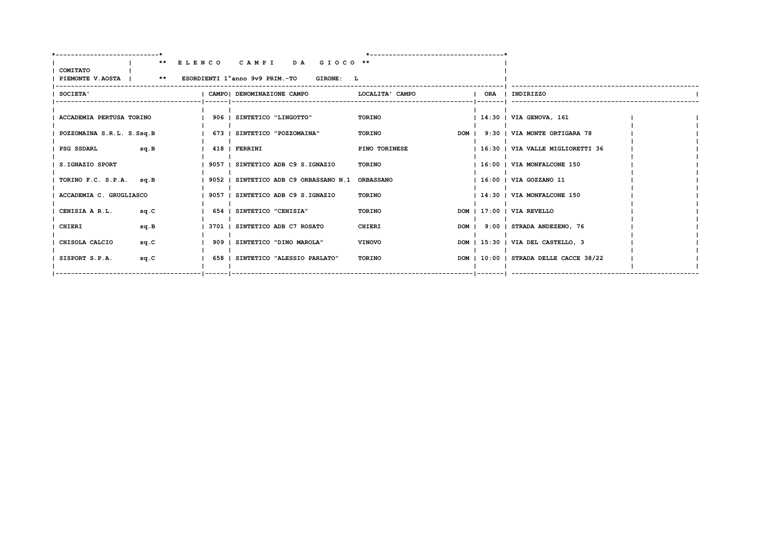| ** ELENCO CAMPI DA GIOCO **<br>PIEMONTE V.AOSTA   ** ESORDIENTI 1°anno 9v9 PRIM.-TO GIRONE: L<br>I CAMPOI DENOMINAZIONE CAMPO | LOCALITA' CAMPO                                                                                                                                                                                                                                              |                                                 |                         |                                                                                                                                                                                                                                                                                                                      |
|-------------------------------------------------------------------------------------------------------------------------------|--------------------------------------------------------------------------------------------------------------------------------------------------------------------------------------------------------------------------------------------------------------|-------------------------------------------------|-------------------------|----------------------------------------------------------------------------------------------------------------------------------------------------------------------------------------------------------------------------------------------------------------------------------------------------------------------|
|                                                                                                                               |                                                                                                                                                                                                                                                              |                                                 |                         |                                                                                                                                                                                                                                                                                                                      |
|                                                                                                                               |                                                                                                                                                                                                                                                              |                                                 | ORA   INDIRIZZO         |                                                                                                                                                                                                                                                                                                                      |
| 906   SINTETICO "LINGOTTO"                                                                                                    | TORINO                                                                                                                                                                                                                                                       |                                                 | 14:30   VIA GENOVA, 161 |                                                                                                                                                                                                                                                                                                                      |
|                                                                                                                               | TORINO                                                                                                                                                                                                                                                       |                                                 |                         |                                                                                                                                                                                                                                                                                                                      |
|                                                                                                                               | PINO TORINESE                                                                                                                                                                                                                                                |                                                 |                         |                                                                                                                                                                                                                                                                                                                      |
|                                                                                                                               | TORINO                                                                                                                                                                                                                                                       |                                                 |                         |                                                                                                                                                                                                                                                                                                                      |
|                                                                                                                               |                                                                                                                                                                                                                                                              |                                                 |                         |                                                                                                                                                                                                                                                                                                                      |
|                                                                                                                               | TORINO                                                                                                                                                                                                                                                       |                                                 |                         |                                                                                                                                                                                                                                                                                                                      |
|                                                                                                                               | TORINO                                                                                                                                                                                                                                                       |                                                 |                         |                                                                                                                                                                                                                                                                                                                      |
|                                                                                                                               | CHIERI                                                                                                                                                                                                                                                       |                                                 |                         |                                                                                                                                                                                                                                                                                                                      |
|                                                                                                                               | <b>VINOVO</b>                                                                                                                                                                                                                                                |                                                 |                         |                                                                                                                                                                                                                                                                                                                      |
|                                                                                                                               | TORINO                                                                                                                                                                                                                                                       |                                                 |                         |                                                                                                                                                                                                                                                                                                                      |
|                                                                                                                               | 673   SINTETICO "POZZOMAINA"<br>418   FERRINI<br>9057   SINTETICO ADB C9 S.IGNAZIO<br>9057   SINTETICO ADB C9 S.IGNAZIO<br>654   SINTETICO "CENISIA"<br>3701   SINTETICO ADB C7 ROSATO<br>909   SINTETICO "DINO MAROLA"<br>658   SINTETICO "ALESSIO PARLATO" | 9052   SINTETICO ADB C9 ORBASSANO N.1 ORBASSANO |                         | DOM   9:30   VIA MONTE ORTIGARA 78<br>  16:30   VIA VALLE MIGLIORETTI 36<br>  16:00   VIA MONFALCONE 150<br>  16:00   VIA GOZZANO 11<br>  14:30   VIA MONFALCONE 150<br>DOM   17:00   VIA REVELLO<br>DOM   9:00   STRADA ANDEZENO, 76<br>DOM   15:30   VIA DEL CASTELLO, 3<br>DOM   10:00   STRADA DELLE CACCE 38/22 |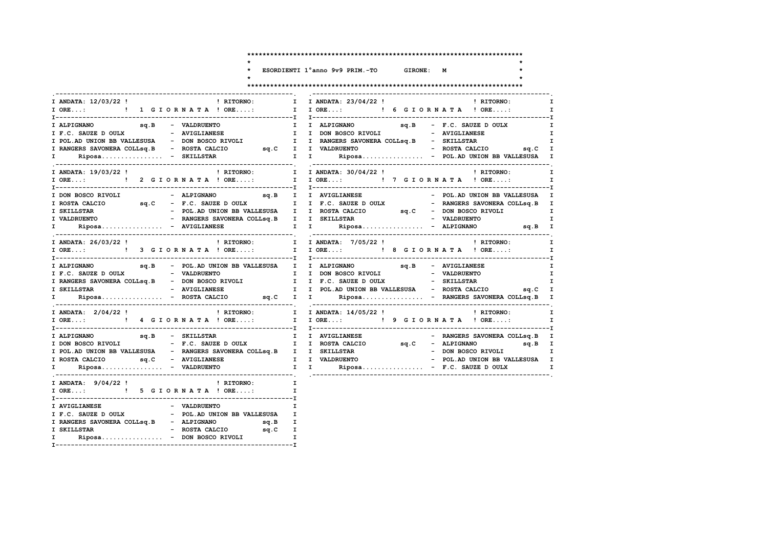| ESORDIENTI 1°anno 9v9 PRIM.-TO |  | GIRONE: M |  |
|--------------------------------|--|-----------|--|

 $\star$ 

 $\star$ 

 $\star$ 

### 

| I ANDATA: 12/03/22 !<br>! RITORNO:<br>I ORE: ! 1 G I O R N A T A ! ORE:                                                                                                                                                                                                                                                                           | I ANDATA: 23/04/22 ! PITORNO:<br>$\mathbf{I}$<br>I.<br>I I ORE: ! 6 G I O R N A T A ! ORE:<br>$\mathbf{I}$                                                                                                                               |
|---------------------------------------------------------------------------------------------------------------------------------------------------------------------------------------------------------------------------------------------------------------------------------------------------------------------------------------------------|------------------------------------------------------------------------------------------------------------------------------------------------------------------------------------------------------------------------------------------|
| I RANGERS SAVONERA COLLsq.B - ROSTA CALCIO sq.C I I VALDRUENTO<br>I Riposa - SKILLSTAR                                                                                                                                                                                                                                                            | $\mathbf{I}$<br>$\mathbf{I}$<br>$\mathbf{I}$<br>- ROSTA CALCIO sq.C I                                                                                                                                                                    |
|                                                                                                                                                                                                                                                                                                                                                   | I ANDATA: 30/04/22 !<br>$\mathbf{I}$<br>! RITORNO: ! RITORNO: ! RITORNO: ! PANDATA: 30/04/22! ! ! ANDATA: 19/03/22! ! ! RITORNO: ! ! PANDATA: 30/04/22<br>!  I DRE: ! ! 7 GIORNATA! ORE: ! ! 2 GIORNATA! ORE: ! ! I ORE:<br>$\mathbf{I}$ |
|                                                                                                                                                                                                                                                                                                                                                   | - POL.AD UNION BB VALLESUSA I<br>I ROSTA CALCIO 5q.C - F.C. SAUZE D OULX I I F.C. SAUZE D OULX - RANGERS SAVONERA COLLSq.B I<br>I Riposa - AVIGLIANESE               I I       Riposa - ALPIGNANO           sq.B   I                     |
| I ANDATA: 26/03/22 !                                                                                                                                                                                                                                                                                                                              | $\mathbf{I}$                                                                                                                                                                                                                             |
| sq.B - POL.AD UNION BB VALLESUSA I I ALPIGNANO<br>I ALPIGNANO<br>I F.C. SAUZE DOULX - VALDRUENTO - T I DON BOSCO RIVOLI - VALDRUENTO                                                                                                                                                                                                              | sq.B - AVIGLIANESE<br>$\mathbf{I}$<br>I.                                                                                                                                                                                                 |
| I ANDATA: 2/04/22 !                                                                                                                                                                                                                                                                                                                               | ! RITORNO: I I ANDATA: 14/05/22 !<br>! RITORNO: I<br>I ORE:  1 I ORE: I JORE: I JORE: I JORE: I JORE: I                                                                                                                                  |
| I ALPIGNANO sq.B - SKILLSTAR                                                                                                                                                                                                                                                                                                                      | - RANGERS SAVONERA COLLsq.B I<br>I I AVIGLIANESE<br>sq.B I<br>- DON BOSCO RIVOLI I                                                                                                                                                       |
| I ANDATA: $9/04/22$ ! PRITORNO:<br>I ORE: ! 5 G I O R N A T A ! ORE:                                                                                                                                                                                                                                                                              | $\mathbf{I}$ and $\mathbf{I}$<br>$\mathbf{I}$                                                                                                                                                                                            |
| $\begin{tabular}{lllllllllllll} \texttt{I AVIGLIMESE} & & & & & & \texttt{VALDRUENTO} & & & & \texttt{I}\\ \texttt{I F.C. SAUZE D OUTX} & & & & & - & \texttt{POL.AD UNION BB VALLESUSA} & & \texttt{I} \end{tabular}$<br>I RANGERS SAVONERA COLLSQ.B - ALPIGNANO sq.B I<br>- ROSTA CALCIO sq.C I<br>I SKILLSTAR<br>I Riposa - DON BOSCO RIVOLI I |                                                                                                                                                                                                                                          |

 $\ddot{\phantom{1}}$ 

 $\ddot{\phantom{0}}$ 

 $\star$